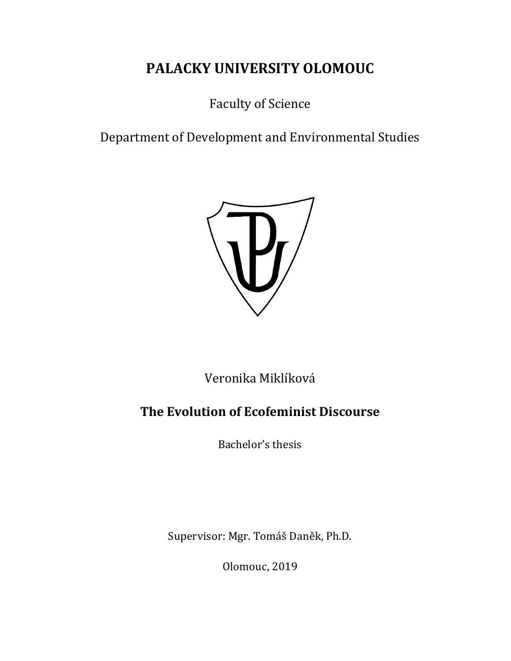# **PALACKY UNIVERSITY OLOMOUC**

Faculty of Science

Department of Development and Environmental Studies



Veronika Miklíková

# **The Evolution of Ecofeminist Discourse**

Bachelor's thesis

Supervisor: Mgr. Tomáš Daněk, Ph.D.

Olomouc, 2019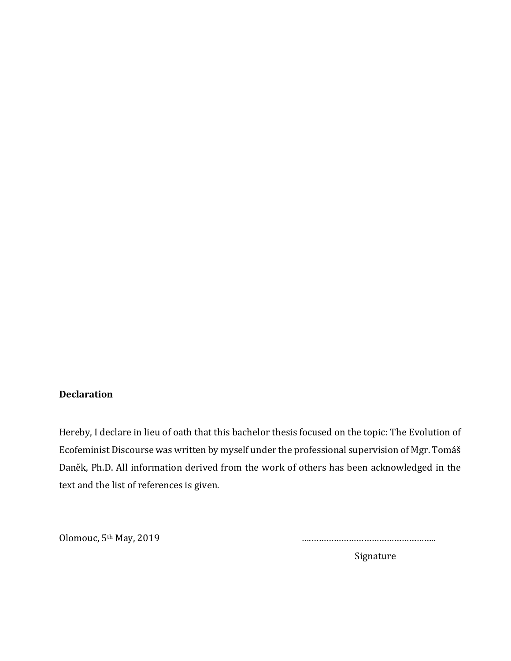#### **Declaration**

Hereby, I declare in lieu of oath that this bachelor thesis focused on the topic: The Evolution of Ecofeminist Discourse was written by myself under the professional supervision of Mgr. Tomáš Daněk, Ph.D. All information derived from the work of others has been acknowledged in the text and the list of references is given.

Olomouc, 5th May, 2019 ….…………………………………………..

Signature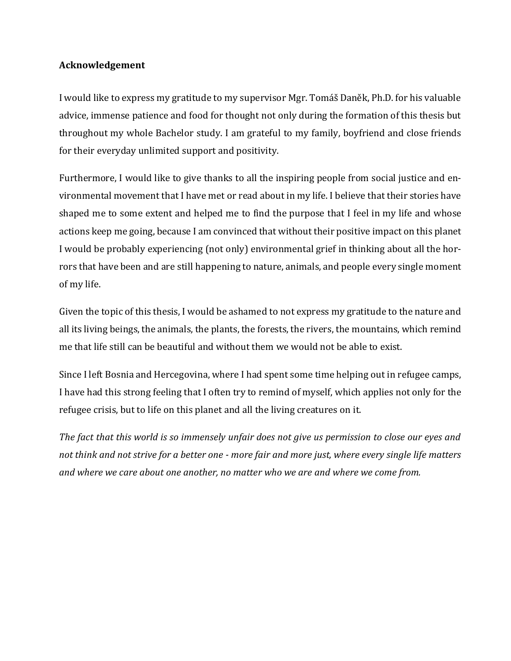#### **Acknowledgement**

I would like to express my gratitude to my supervisor Mgr. Tomáš Daněk, Ph.D. for his valuable advice, immense patience and food for thought not only during the formation of this thesis but throughout my whole Bachelor study. I am grateful to my family, boyfriend and close friends for their everyday unlimited support and positivity.

Furthermore, I would like to give thanks to all the inspiring people from social justice and environmental movement that I have met or read about in my life. I believe that their stories have shaped me to some extent and helped me to find the purpose that I feel in my life and whose actions keep me going, because I am convinced that without their positive impact on this planet I would be probably experiencing (not only) environmental grief in thinking about all the horrors that have been and are still happening to nature, animals, and people every single moment of my life.

Given the topic of this thesis, I would be ashamed to not express my gratitude to the nature and all its living beings, the animals, the plants, the forests, the rivers, the mountains, which remind me that life still can be beautiful and without them we would not be able to exist.

Since I left Bosnia and Hercegovina, where I had spent some time helping out in refugee camps, I have had this strong feeling that I often try to remind of myself, which applies not only for the refugee crisis, but to life on this planet and all the living creatures on it.

*The fact that this world is so immensely unfair does not give us permission to close our eyes and not think and not strive for a better one - more fair and more just, where every single life matters and where we care about one another, no matter who we are and where we come from.*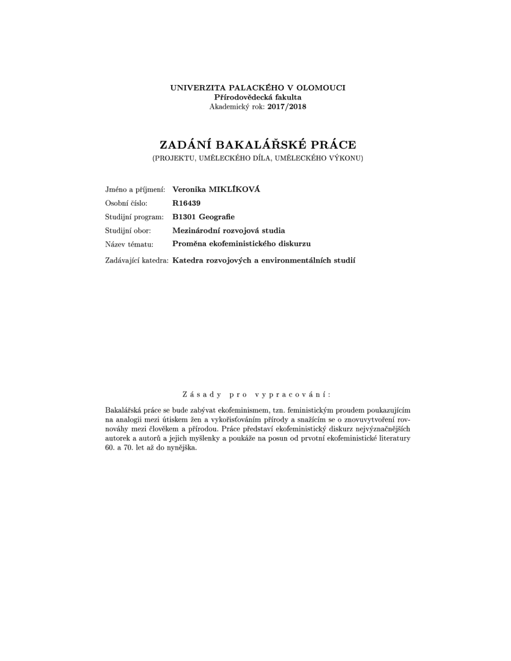UNIVERZITA PALACKÉHO V OLOMOUCI Přírodovědecká fakulta Akademický rok: 2017/2018

# ZADÁNÍ BAKALÁŘSKÉ PRÁCE

(PROJEKTU, UMĚLECKÉHO DÍLA, UMĚLECKÉHO VÝKONU)

|                | Jméno a příjmení: Veronika MIKLÍKOVÁ                               |
|----------------|--------------------------------------------------------------------|
| Osobní číslo:  | R16439                                                             |
|                | Studijní program: B1301 Geografie                                  |
| Studijní obor: | Mezinárodní rozvojová studia                                       |
| Název tématu:  | Proměna ekofeministického diskurzu                                 |
|                | Zadávající katedra: Katedra rozvojových a environmentálních studií |

#### Zásady pro vypracování:

Bakalářská práce se bude zabývat ekofeminismem, tzn. feministickým proudem poukazujícím na analogii mezi útiskem žen a vykořisťováním přírody a snažícím se o znovuvytvoření rovnováhy mezi člověkem a přírodou. Práce představí ekofeministický diskurz nejvýznačnějších autorek a autorů a jejich myšlenky a poukáže na posun od prvotní ekofeministické literatury 60. a 70. let až do nynějška.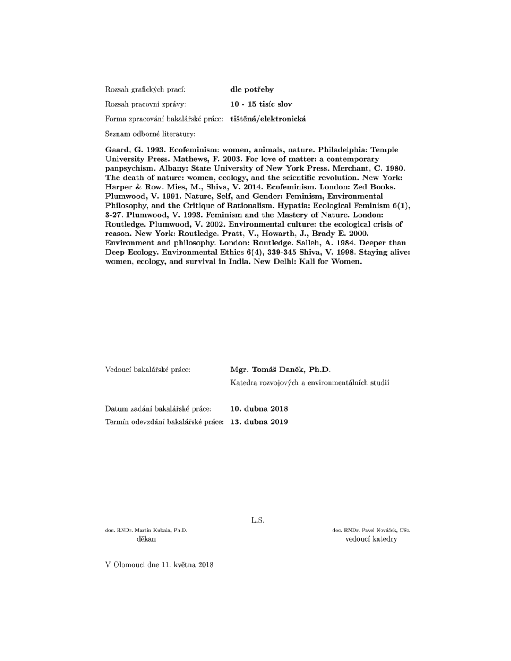Rozsah grafických prací: dle potřeby Rozsah pracovní zprávy:  $10 - 15$  tisíc slov Forma zpracování bakalářské práce: tištěná/elektronická

Seznam odborné literatury:

Gaard, G. 1993. Ecofeminism: women, animals, nature. Philadelphia: Temple University Press. Mathews, F. 2003. For love of matter: a contemporary panpsychism. Albany: State University of New York Press. Merchant, C. 1980. The death of nature: women, ecology, and the scientific revolution. New York: Harper & Row. Mies, M., Shiva, V. 2014. Ecofeminism. London: Zed Books. Plumwood, V. 1991. Nature, Self, and Gender: Feminism, Environmental Philosophy, and the Critique of Rationalism. Hypatia: Ecological Feminism  $6(1)$ , 3-27. Plumwood, V. 1993. Feminism and the Mastery of Nature. London: Routledge. Plumwood, V. 2002. Environmental culture: the ecological crisis of reason. New York: Routledge. Pratt, V., Howarth, J., Brady E. 2000. Environment and philosophy. London: Routledge. Salleh, A. 1984. Deeper than Deep Ecology. Environmental Ethics 6(4), 339-345 Shiva, V. 1998. Staying alive: women, ecology, and survival in India. New Delhi: Kali for Women.

| Vedoucí bakalářské práce:      | Mgr. Tomáš Daněk, Ph.D.                        |  |  |
|--------------------------------|------------------------------------------------|--|--|
|                                | Katedra rozvojových a environmentálních studií |  |  |
| Datum zadání bakalářské práce: | 10. dubna 2018                                 |  |  |

L.S.

Termín odevzdání bakalářské práce: 13. dubna 2019

doc. RNDr. Martin Kubala, Ph.D. děkan

doc. RNDr. Pavel Nováček, CSc. vedoucí katedry

V Olomouci dne 11. května 2018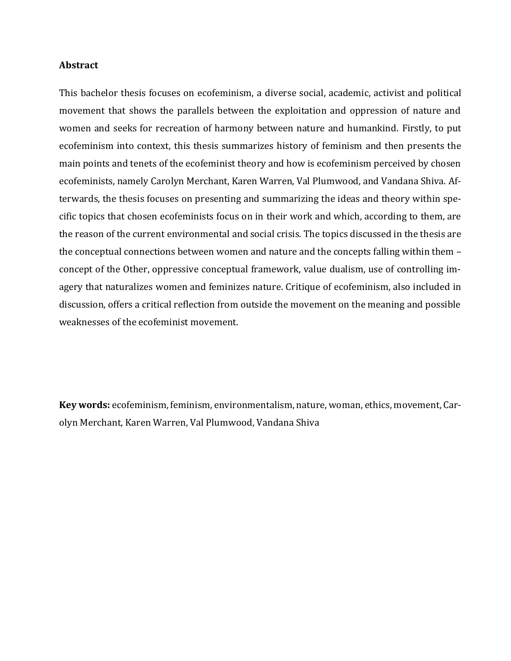#### **Abstract**

This bachelor thesis focuses on ecofeminism, a diverse social, academic, activist and political movement that shows the parallels between the exploitation and oppression of nature and women and seeks for recreation of harmony between nature and humankind. Firstly, to put ecofeminism into context, this thesis summarizes history of feminism and then presents the main points and tenets of the ecofeminist theory and how is ecofeminism perceived by chosen ecofeminists, namely Carolyn Merchant, Karen Warren, Val Plumwood, and Vandana Shiva. Afterwards, the thesis focuses on presenting and summarizing the ideas and theory within specific topics that chosen ecofeminists focus on in their work and which, according to them, are the reason of the current environmental and social crisis. The topics discussed in the thesis are the conceptual connections between women and nature and the concepts falling within them – concept of the Other, oppressive conceptual framework, value dualism, use of controlling imagery that naturalizes women and feminizes nature. Critique of ecofeminism, also included in discussion, offers a critical reflection from outside the movement on the meaning and possible weaknesses of the ecofeminist movement.

**Key words:** ecofeminism, feminism, environmentalism, nature, woman, ethics, movement, Carolyn Merchant, Karen Warren, Val Plumwood, Vandana Shiva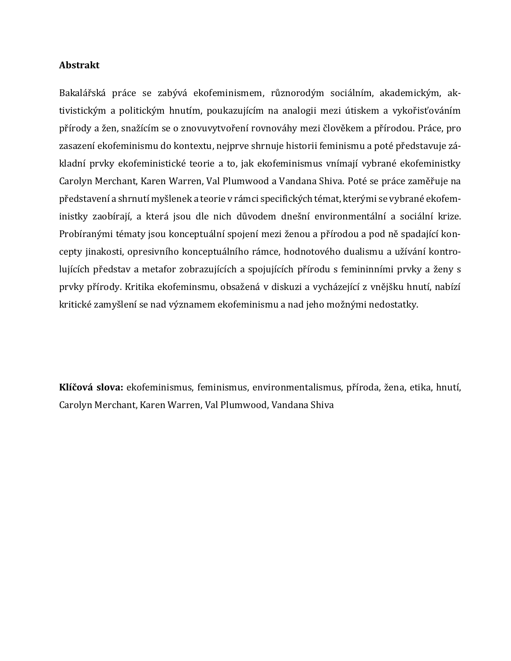#### **Abstrakt**

Bakalářská práce se zabývá ekofeminismem, různorodým sociálním, akademickým, aktivistickým a politickým hnutím, poukazujícím na analogii mezi útiskem a vykořisťováním přírody a žen, snažícím se o znovuvytvoření rovnováhy mezi člověkem a přírodou. Práce, pro zasazení ekofeminismu do kontextu, nejprve shrnuje historii feminismu a poté představuje základní prvky ekofeministické teorie a to, jak ekofeminismus vnímají vybrané ekofeministky Carolyn Merchant, Karen Warren, Val Plumwood a Vandana Shiva. Poté se práce zaměřuje na představení a shrnutí myšlenek a teorie v rámci specifických témat, kterými se vybrané ekofeministky zaobírají, a která jsou dle nich důvodem dnešní environmentální a sociální krize. Probíranými tématy jsou konceptuální spojení mezi ženou a přírodou a pod ně spadající koncepty jinakosti, opresivního konceptuálního rámce, hodnotového dualismu a užívání kontrolujících představ a metafor zobrazujících a spojujících přírodu s femininními prvky a ženy s prvky přírody. Kritika ekofeminsmu, obsažená v diskuzi a vycházející z vnějšku hnutí, nabízí kritické zamyšlení se nad významem ekofeminismu a nad jeho možnými nedostatky.

**Klíčová slova:** ekofeminismus, feminismus, environmentalismus, příroda, žena, etika, hnutí, Carolyn Merchant, Karen Warren, Val Plumwood, Vandana Shiva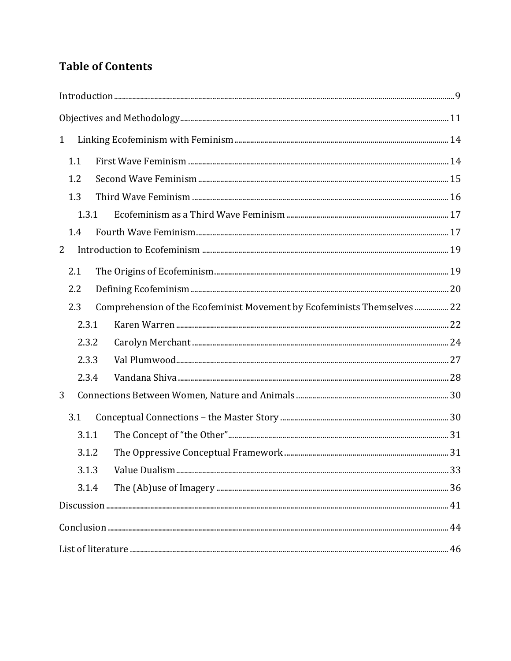# **Table of Contents**

| $\mathbf{1}$ |     |       |                                                                          |  |
|--------------|-----|-------|--------------------------------------------------------------------------|--|
|              | 1.1 |       |                                                                          |  |
| 1.2<br>1.3   |     |       |                                                                          |  |
|              |     |       |                                                                          |  |
|              |     | 1.3.1 |                                                                          |  |
|              | 1.4 |       |                                                                          |  |
| 2            |     |       |                                                                          |  |
|              | 2.1 |       |                                                                          |  |
| 2.2          |     |       |                                                                          |  |
|              | 2.3 |       | Comprehension of the Ecofeminist Movement by Ecofeminists Themselves  22 |  |
|              |     | 2.3.1 |                                                                          |  |
|              |     | 2.3.2 |                                                                          |  |
|              |     | 2.3.3 |                                                                          |  |
|              |     | 2.3.4 |                                                                          |  |
| 3            |     |       |                                                                          |  |
|              | 3.1 |       |                                                                          |  |
|              |     | 3.1.1 |                                                                          |  |
|              |     | 3.1.2 |                                                                          |  |
|              |     | 3.1.3 |                                                                          |  |
|              |     | 3.1.4 |                                                                          |  |
|              |     |       |                                                                          |  |
|              |     |       |                                                                          |  |
|              |     |       |                                                                          |  |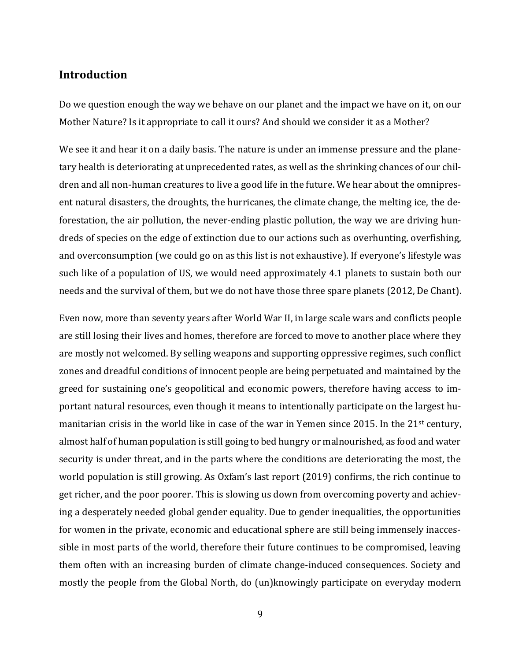## <span id="page-8-0"></span>**Introduction**

Do we question enough the way we behave on our planet and the impact we have on it, on our Mother Nature? Is it appropriate to call it ours? And should we consider it as a Mother?

We see it and hear it on a daily basis. The nature is under an immense pressure and the planetary health is deteriorating at unprecedented rates, as well as the shrinking chances of our children and all non-human creatures to live a good life in the future. We hear about the omnipresent natural disasters, the droughts, the hurricanes, the climate change, the melting ice, the deforestation, the air pollution, the never-ending plastic pollution, the way we are driving hundreds of species on the edge of extinction due to our actions such as overhunting, overfishing, and overconsumption (we could go on as this list is not exhaustive). If everyone's lifestyle was such like of a population of US, we would need approximately 4.1 planets to sustain both our needs and the survival of them, but we do not have those three spare planets (2012, De Chant).

Even now, more than seventy years after World War II, in large scale wars and conflicts people are still losing their lives and homes, therefore are forced to move to another place where they are mostly not welcomed. By selling weapons and supporting oppressive regimes, such conflict zones and dreadful conditions of innocent people are being perpetuated and maintained by the greed for sustaining one's geopolitical and economic powers, therefore having access to important natural resources, even though it means to intentionally participate on the largest humanitarian crisis in the world like in case of the war in Yemen since 2015. In the 21<sup>st</sup> century, almost half of human population is still going to bed hungry or malnourished, as food and water security is under threat, and in the parts where the conditions are deteriorating the most, the world population is still growing. As Oxfam's last report (2019) confirms, the rich continue to get richer, and the poor poorer. This is slowing us down from overcoming poverty and achieving a desperately needed global gender equality. Due to gender inequalities, the opportunities for women in the private, economic and educational sphere are still being immensely inaccessible in most parts of the world, therefore their future continues to be compromised, leaving them often with an increasing burden of climate change-induced consequences. Society and mostly the people from the Global North, do (un)knowingly participate on everyday modern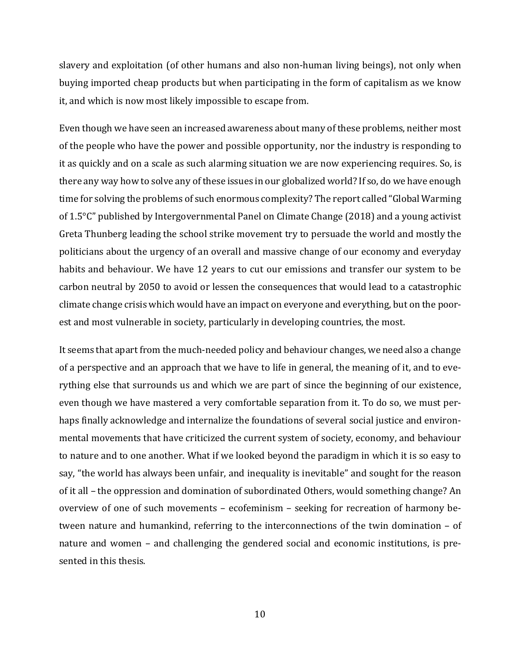slavery and exploitation (of other humans and also non-human living beings), not only when buying imported cheap products but when participating in the form of capitalism as we know it, and which is now most likely impossible to escape from.

Even though we have seen an increased awareness about many of these problems, neither most of the people who have the power and possible opportunity, nor the industry is responding to it as quickly and on a scale as such alarming situation we are now experiencing requires. So, is there any way how to solve any of these issues in our globalized world? If so, do we have enough time for solving the problems of such enormous complexity? The report called "Global Warming of 1.5°C" published by Intergovernmental Panel on Climate Change (2018) and a young activist Greta Thunberg leading the school strike movement try to persuade the world and mostly the politicians about the urgency of an overall and massive change of our economy and everyday habits and behaviour. We have 12 years to cut our emissions and transfer our system to be carbon neutral by 2050 to avoid or lessen the consequences that would lead to a catastrophic climate change crisis which would have an impact on everyone and everything, but on the poorest and most vulnerable in society, particularly in developing countries, the most.

It seems that apart from the much-needed policy and behaviour changes, we need also a change of a perspective and an approach that we have to life in general, the meaning of it, and to everything else that surrounds us and which we are part of since the beginning of our existence, even though we have mastered a very comfortable separation from it. To do so, we must perhaps finally acknowledge and internalize the foundations of several social justice and environmental movements that have criticized the current system of society, economy, and behaviour to nature and to one another. What if we looked beyond the paradigm in which it is so easy to say, "the world has always been unfair, and inequality is inevitable" and sought for the reason of it all – the oppression and domination of subordinated Others, would something change? An overview of one of such movements – ecofeminism – seeking for recreation of harmony between nature and humankind, referring to the interconnections of the twin domination – of nature and women – and challenging the gendered social and economic institutions, is presented in this thesis.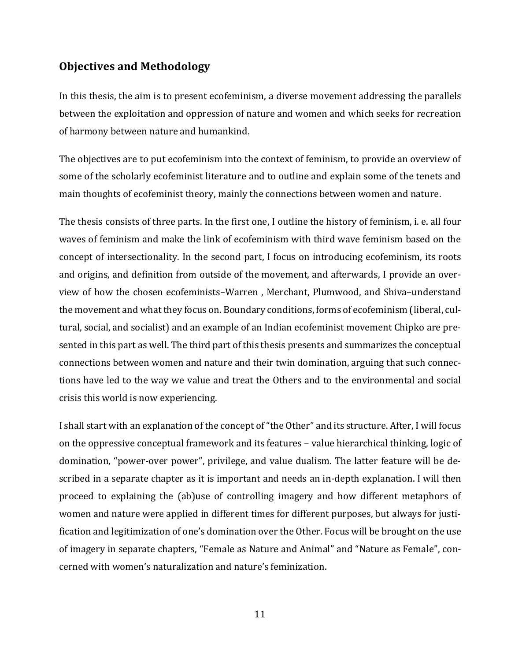# <span id="page-10-0"></span>**Objectives and Methodology**

In this thesis, the aim is to present ecofeminism, a diverse movement addressing the parallels between the exploitation and oppression of nature and women and which seeks for recreation of harmony between nature and humankind.

The objectives are to put ecofeminism into the context of feminism, to provide an overview of some of the scholarly ecofeminist literature and to outline and explain some of the tenets and main thoughts of ecofeminist theory, mainly the connections between women and nature.

The thesis consists of three parts. In the first one, I outline the history of feminism, i. e. all four waves of feminism and make the link of ecofeminism with third wave feminism based on the concept of intersectionality. In the second part, I focus on introducing ecofeminism, its roots and origins, and definition from outside of the movement, and afterwards, I provide an overview of how the chosen ecofeminists–Warren , Merchant, Plumwood, and Shiva–understand the movement and what they focus on. Boundary conditions, forms of ecofeminism (liberal, cultural, social, and socialist) and an example of an Indian ecofeminist movement Chipko are presented in this part as well. The third part of this thesis presents and summarizes the conceptual connections between women and nature and their twin domination, arguing that such connections have led to the way we value and treat the Others and to the environmental and social crisis this world is now experiencing.

I shall start with an explanation of the concept of "the Other" and its structure. After, I will focus on the oppressive conceptual framework and its features – value hierarchical thinking, logic of domination, "power-over power", privilege, and value dualism. The latter feature will be described in a separate chapter as it is important and needs an in-depth explanation. I will then proceed to explaining the (ab)use of controlling imagery and how different metaphors of women and nature were applied in different times for different purposes, but always for justification and legitimization of one's domination over the Other. Focus will be brought on the use of imagery in separate chapters, "Female as Nature and Animal" and "Nature as Female", concerned with women's naturalization and nature's feminization.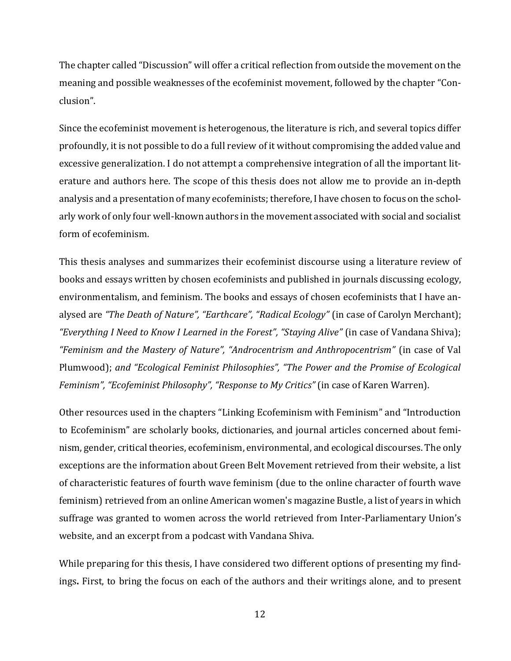The chapter called "Discussion" will offer a critical reflection from outside the movement on the meaning and possible weaknesses of the ecofeminist movement, followed by the chapter "Conclusion".

Since the ecofeminist movement is heterogenous, the literature is rich, and several topics differ profoundly, it is not possible to do a full review of it without compromising the added value and excessive generalization. I do not attempt a comprehensive integration of all the important literature and authors here. The scope of this thesis does not allow me to provide an in-depth analysis and a presentation of many ecofeminists; therefore,I have chosen to focus on the scholarly work of only four well-known authors in the movement associated with social and socialist form of ecofeminism.

This thesis analyses and summarizes their ecofeminist discourse using a literature review of books and essays written by chosen ecofeminists and published in journals discussing ecology, environmentalism, and feminism. The books and essays of chosen ecofeminists that I have analysed are *"The Death of Nature", "Earthcare", "Radical Ecology"* (in case of Carolyn Merchant); *"Everything I Need to Know I Learned in the Forest", "Staying Alive"* (in case of Vandana Shiva); *"Feminism and the Mastery of Nature", "Androcentrism and Anthropocentrism"* (in case of Val Plumwood); *and "Ecological Feminist Philosophies", "The Power and the Promise of Ecological Feminism", "Ecofeminist Philosophy", "Response to My Critics"* (in case of Karen Warren).

Other resources used in the chapters "Linking Ecofeminism with Feminism" and "Introduction to Ecofeminism" are scholarly books, dictionaries, and journal articles concerned about feminism, gender, critical theories, ecofeminism, environmental, and ecological discourses. The only exceptions are the information about Green Belt Movement retrieved from their website, a list of characteristic features of fourth wave feminism (due to the online character of fourth wave feminism) retrieved from an online American women's magazine Bustle, a list of years in which suffrage was granted to women across the world retrieved from Inter-Parliamentary Union's website, and an excerpt from a podcast with Vandana Shiva.

While preparing for this thesis, I have considered two different options of presenting my findings**.** First, to bring the focus on each of the authors and their writings alone, and to present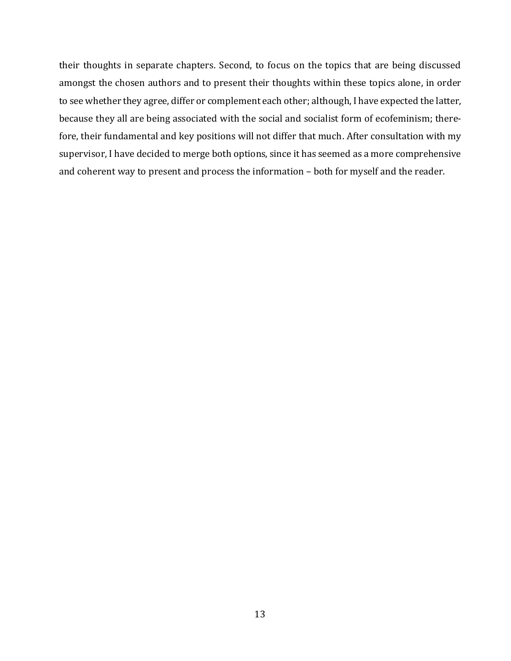their thoughts in separate chapters. Second, to focus on the topics that are being discussed amongst the chosen authors and to present their thoughts within these topics alone, in order to see whether they agree, differ or complement each other; although, I have expected the latter, because they all are being associated with the social and socialist form of ecofeminism; therefore, their fundamental and key positions will not differ that much. After consultation with my supervisor, I have decided to merge both options, since it has seemed as a more comprehensive and coherent way to present and process the information – both for myself and the reader.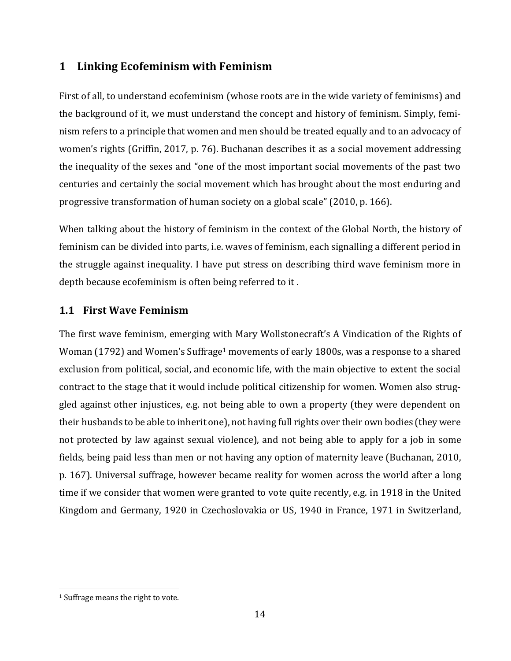# <span id="page-13-0"></span>**1 Linking Ecofeminism with Feminism**

First of all, to understand ecofeminism (whose roots are in the wide variety of feminisms) and the background of it, we must understand the concept and history of feminism. Simply, feminism refers to a principle that women and men should be treated equally and to an advocacy of women's rights (Griffin, 2017, p. 76). Buchanan describes it as a social movement addressing the inequality of the sexes and "one of the most important social movements of the past two centuries and certainly the social movement which has brought about the most enduring and progressive transformation of human society on a global scale" (2010, p. 166).

When talking about the history of feminism in the context of the Global North, the history of feminism can be divided into parts, i.e. waves of feminism, each signalling a different period in the struggle against inequality. I have put stress on describing third wave feminism more in depth because ecofeminism is often being referred to it .

# <span id="page-13-1"></span>**1.1 First Wave Feminism**

The first wave feminism, emerging with Mary Wollstonecraft's A Vindication of the Rights of Woman (1792) and Women's Suffrage<sup>1</sup> movements of early 1800s, was a response to a shared exclusion from political, social, and economic life, with the main objective to extent the social contract to the stage that it would include political citizenship for women. Women also struggled against other injustices, e.g. not being able to own a property (they were dependent on their husbands to be able to inherit one), not having full rights over their own bodies (they were not protected by law against sexual violence), and not being able to apply for a job in some fields, being paid less than men or not having any option of maternity leave (Buchanan, 2010, p. 167). Universal suffrage, however became reality for women across the world after a long time if we consider that women were granted to vote quite recently, e.g. in 1918 in the United Kingdom and Germany, 1920 in Czechoslovakia or US, 1940 in France, 1971 in Switzerland,

 $\overline{\phantom{a}}$ 

<sup>1</sup> Suffrage means the right to vote.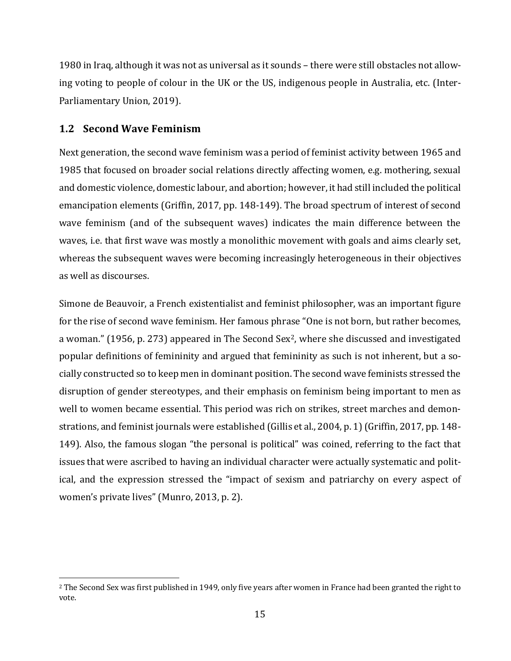1980 in Iraq, although it was not as universal as it sounds – there were still obstacles not allowing voting to people of colour in the UK or the US, indigenous people in Australia, etc. (Inter-Parliamentary Union, 2019).

## <span id="page-14-0"></span>**1.2 Second Wave Feminism**

 $\overline{\phantom{a}}$ 

Next generation, the second wave feminism was a period of feminist activity between 1965 and 1985 that focused on broader social relations directly affecting women, e.g. mothering, sexual and domestic violence, domestic labour, and abortion; however, it had still included the political emancipation elements (Griffin, 2017, pp. 148-149). The broad spectrum of interest of second wave feminism (and of the subsequent waves) indicates the main difference between the waves, i.e. that first wave was mostly a monolithic movement with goals and aims clearly set, whereas the subsequent waves were becoming increasingly heterogeneous in their objectives as well as discourses.

Simone de Beauvoir, a French existentialist and feminist philosopher, was an important figure for the rise of second wave feminism. Her famous phrase "One is not born, but rather becomes, a woman." (1956, p. 273) appeared in The Second Sex<sup>2</sup>, where she discussed and investigated popular definitions of femininity and argued that femininity as such is not inherent, but a socially constructed so to keep men in dominant position. The second wave feminists stressed the disruption of gender stereotypes, and their emphasis on feminism being important to men as well to women became essential. This period was rich on strikes, street marches and demonstrations, and feminist journals were established (Gillis et al., 2004, p. 1) (Griffin, 2017, pp. 148- 149). Also, the famous slogan "the personal is political" was coined, referring to the fact that issues that were ascribed to having an individual character were actually systematic and political, and the expression stressed the "impact of sexism and patriarchy on every aspect of women's private lives" (Munro, 2013, p. 2).

<sup>&</sup>lt;sup>2</sup> The Second Sex was first published in 1949, only five years after women in France had been granted the right to vote.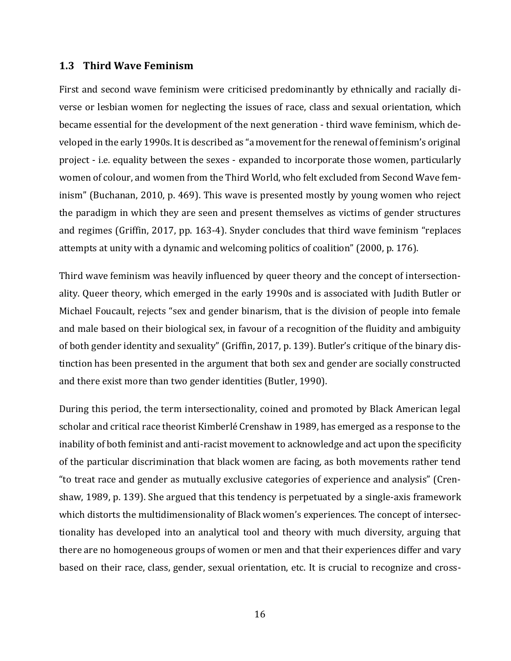#### <span id="page-15-0"></span>**1.3 Third Wave Feminism**

First and second wave feminism were criticised predominantly by ethnically and racially diverse or lesbian women for neglecting the issues of race, class and sexual orientation, which became essential for the development of the next generation - third wave feminism, which developed in the early 1990s. It is described as "a movement for the renewal of feminism's original project - i.e. equality between the sexes - expanded to incorporate those women, particularly women of colour, and women from the Third World, who felt excluded from Second Wave feminism" (Buchanan, 2010, p. 469). This wave is presented mostly by young women who reject the paradigm in which they are seen and present themselves as victims of gender structures and regimes (Griffin, 2017, pp. 163-4). Snyder concludes that third wave feminism "replaces attempts at unity with a dynamic and welcoming politics of coalition" (2000, p. 176).

Third wave feminism was heavily influenced by queer theory and the concept of intersectionality. Queer theory, which emerged in the early 1990s and is associated with Judith Butler or Michael Foucault, rejects "sex and gender binarism, that is the division of people into female and male based on their biological sex, in favour of a recognition of the fluidity and ambiguity of both gender identity and sexuality" (Griffin, 2017, p. 139). Butler's critique of the binary distinction has been presented in the argument that both sex and gender are socially constructed and there exist more than two gender identities (Butler, 1990).

During this period, the term intersectionality, coined and promoted by Black American legal scholar and critical race theorist Kimberlé Crenshaw in 1989, has emerged as a response to the inability of both feminist and anti-racist movement to acknowledge and act upon the specificity of the particular discrimination that black women are facing, as both movements rather tend "to treat race and gender as mutually exclusive categories of experience and analysis" (Crenshaw, 1989, p. 139). She argued that this tendency is perpetuated by a single-axis framework which distorts the multidimensionality of Black women's experiences. The concept of intersectionality has developed into an analytical tool and theory with much diversity, arguing that there are no homogeneous groups of women or men and that their experiences differ and vary based on their race, class, gender, sexual orientation, etc. It is crucial to recognize and cross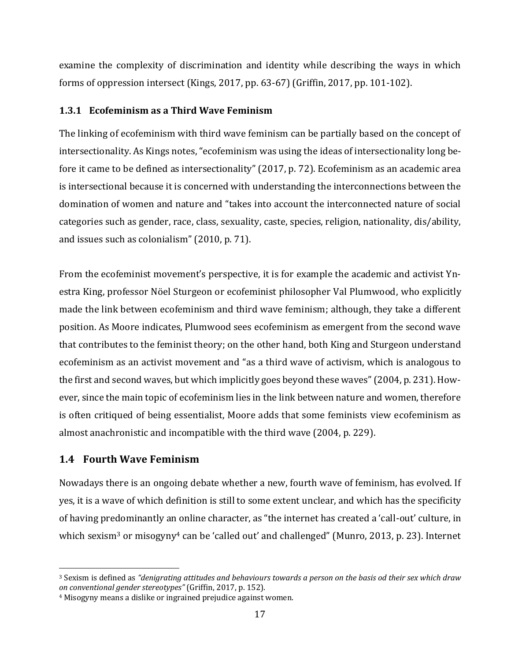examine the complexity of discrimination and identity while describing the ways in which forms of oppression intersect (Kings, 2017, pp. 63-67) (Griffin, 2017, pp. 101-102).

## <span id="page-16-0"></span>**1.3.1 Ecofeminism as a Third Wave Feminism**

The linking of ecofeminism with third wave feminism can be partially based on the concept of intersectionality. As Kings notes, "ecofeminism was using the ideas of intersectionality long before it came to be defined as intersectionality" (2017, p. 72). Ecofeminism as an academic area is intersectional because it is concerned with understanding the interconnections between the domination of women and nature and "takes into account the interconnected nature of social categories such as gender, race, class, sexuality, caste, species, religion, nationality, dis/ability, and issues such as colonialism" (2010, p. 71).

From the ecofeminist movement's perspective, it is for example the academic and activist Ynestra King, professor Nöel Sturgeon or ecofeminist philosopher Val Plumwood, who explicitly made the link between ecofeminism and third wave feminism; although, they take a different position. As Moore indicates, Plumwood sees ecofeminism as emergent from the second wave that contributes to the feminist theory; on the other hand, both King and Sturgeon understand ecofeminism as an activist movement and "as a third wave of activism, which is analogous to the first and second waves, but which implicitly goes beyond these waves" (2004, p. 231). However, since the main topic of ecofeminism lies in the link between nature and women, therefore is often critiqued of being essentialist, Moore adds that some feminists view ecofeminism as almost anachronistic and incompatible with the third wave (2004, p. 229).

# <span id="page-16-1"></span>**1.4 Fourth Wave Feminism**

l

Nowadays there is an ongoing debate whether a new, fourth wave of feminism, has evolved. If yes, it is a wave of which definition is still to some extent unclear, and which has the specificity of having predominantly an online character, as "the internet has created a 'call-out' culture, in which sexism<sup>3</sup> or misogyny<sup>4</sup> can be 'called out' and challenged" (Munro, 2013, p. 23). Internet

<sup>3</sup> Sexism is defined as *"denigrating attitudes and behaviours towards a person on the basis od their sex which draw on conventional gender stereotypes"* (Griffin, 2017, p. 152).

<sup>4</sup> Misogyny means a dislike or ingrained prejudice against women.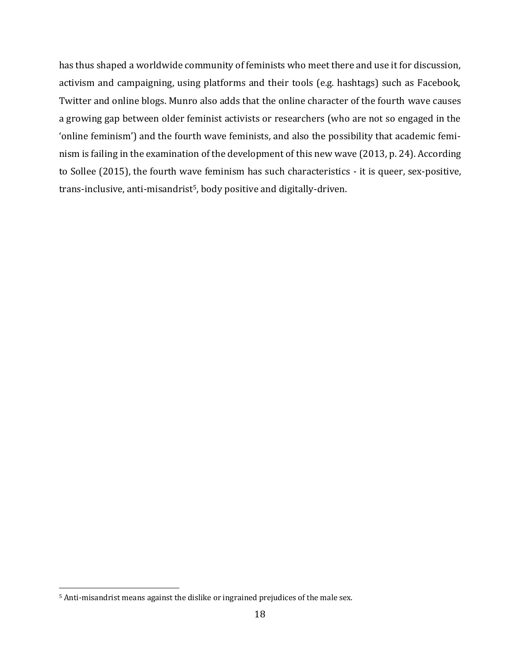has thus shaped a worldwide community of feminists who meet there and use it for discussion, activism and campaigning, using platforms and their tools (e.g. hashtags) such as Facebook, Twitter and online blogs. Munro also adds that the online character of the fourth wave causes a growing gap between older feminist activists or researchers (who are not so engaged in the 'online feminism') and the fourth wave feminists, and also the possibility that academic feminism is failing in the examination of the development of this new wave (2013, p. 24). According to Sollee (2015), the fourth wave feminism has such characteristics - it is queer, sex-positive, trans-inclusive, anti-misandrist<sup>5</sup>, body positive and digitally-driven.

 $\overline{\phantom{a}}$ 

<sup>5</sup> Anti-misandrist means against the dislike or ingrained prejudices of the male sex.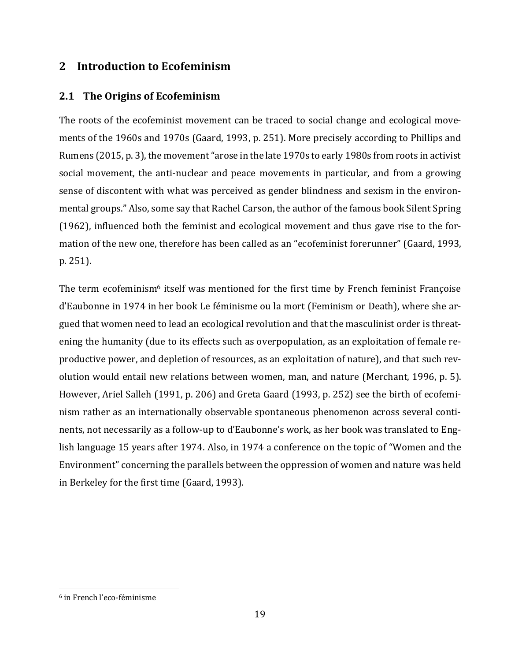# <span id="page-18-0"></span>**2 Introduction to Ecofeminism**

# <span id="page-18-1"></span>**2.1 The Origins of Ecofeminism**

The roots of the ecofeminist movement can be traced to social change and ecological movements of the 1960s and 1970s (Gaard, 1993, p. 251). More precisely according to Phillips and Rumens (2015, p. 3), the movement "arose in the late 1970s to early 1980s from roots in activist social movement, the anti-nuclear and peace movements in particular, and from a growing sense of discontent with what was perceived as gender blindness and sexism in the environmental groups." Also, some say that Rachel Carson, the author of the famous book Silent Spring (1962), influenced both the feminist and ecological movement and thus gave rise to the formation of the new one, therefore has been called as an "ecofeminist forerunner" (Gaard, 1993, p. 251).

The term ecofeminism<sup>6</sup> itself was mentioned for the first time by French feminist Françoise d'Eaubonne in 1974 in her book Le féminisme ou la mort (Feminism or Death), where she argued that women need to lead an ecological revolution and that the masculinist order is threatening the humanity (due to its effects such as overpopulation, as an exploitation of female reproductive power, and depletion of resources, as an exploitation of nature), and that such revolution would entail new relations between women, man, and nature (Merchant, 1996, p. 5). However, Ariel Salleh (1991, p. 206) and Greta Gaard (1993, p. 252) see the birth of ecofeminism rather as an internationally observable spontaneous phenomenon across several continents, not necessarily as a follow-up to d'Eaubonne's work, as her book was translated to English language 15 years after 1974. Also, in 1974 a conference on the topic of "Women and the Environment" concerning the parallels between the oppression of women and nature was held in Berkeley for the first time (Gaard, 1993).

 $\overline{\phantom{a}}$ 

<sup>6</sup> in French l'eco-féminisme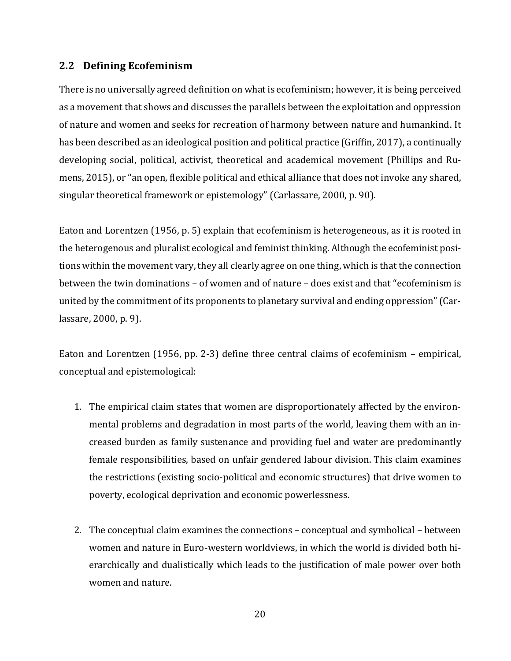### <span id="page-19-0"></span>**2.2 Defining Ecofeminism**

There is no universally agreed definition on what is ecofeminism; however, it is being perceived as a movement that shows and discusses the parallels between the exploitation and oppression of nature and women and seeks for recreation of harmony between nature and humankind. It has been described as an ideological position and political practice (Griffin, 2017), a continually developing social, political, activist, theoretical and academical movement (Phillips and Rumens, 2015), or "an open, flexible political and ethical alliance that does not invoke any shared, singular theoretical framework or epistemology" (Carlassare, 2000, p. 90).

Eaton and Lorentzen (1956, p. 5) explain that ecofeminism is heterogeneous, as it is rooted in the heterogenous and pluralist ecological and feminist thinking. Although the ecofeminist positions within the movement vary, they all clearly agree on one thing, which is that the connection between the twin dominations – of women and of nature – does exist and that "ecofeminism is united by the commitment of its proponents to planetary survival and ending oppression" (Carlassare, 2000, p. 9).

Eaton and Lorentzen (1956, pp. 2-3) define three central claims of ecofeminism – empirical, conceptual and epistemological:

- 1. The empirical claim states that women are disproportionately affected by the environmental problems and degradation in most parts of the world, leaving them with an increased burden as family sustenance and providing fuel and water are predominantly female responsibilities, based on unfair gendered labour division. This claim examines the restrictions (existing socio-political and economic structures) that drive women to poverty, ecological deprivation and economic powerlessness.
- 2. The conceptual claim examines the connections conceptual and symbolical between women and nature in Euro-western worldviews, in which the world is divided both hierarchically and dualistically which leads to the justification of male power over both women and nature.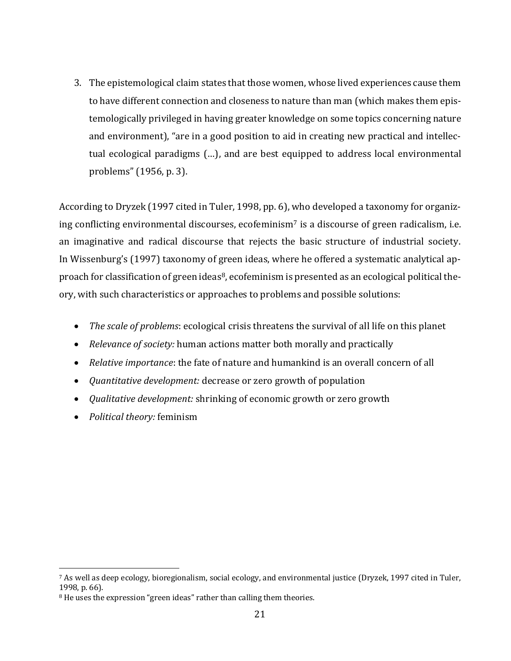3. The epistemological claim states that those women, whose lived experiences cause them to have different connection and closeness to nature than man (which makes them epistemologically privileged in having greater knowledge on some topics concerning nature and environment), "are in a good position to aid in creating new practical and intellectual ecological paradigms (…), and are best equipped to address local environmental problems" (1956, p. 3).

According to Dryzek (1997 cited in Tuler, 1998, pp. 6), who developed a taxonomy for organizing conflicting environmental discourses, ecofeminism<sup>7</sup> is a discourse of green radicalism, i.e. an imaginative and radical discourse that rejects the basic structure of industrial society. In Wissenburg's (1997) taxonomy of green ideas, where he offered a systematic analytical approach for classification of green ideas<sup>8</sup>, ecofeminism is presented as an ecological political theory, with such characteristics or approaches to problems and possible solutions:

- *The scale of problems*: ecological crisis threatens the survival of all life on this planet
- *Relevance of society:* human actions matter both morally and practically
- *Relative importance*: the fate of nature and humankind is an overall concern of all
- *Quantitative development:* decrease or zero growth of population
- *Qualitative development:* shrinking of economic growth or zero growth
- *Political theory:* feminism

l

<sup>7</sup> As well as deep ecology, bioregionalism, social ecology, and environmental justice (Dryzek, 1997 cited in Tuler, 1998, p. 66).

<sup>&</sup>lt;sup>8</sup> He uses the expression "green ideas" rather than calling them theories.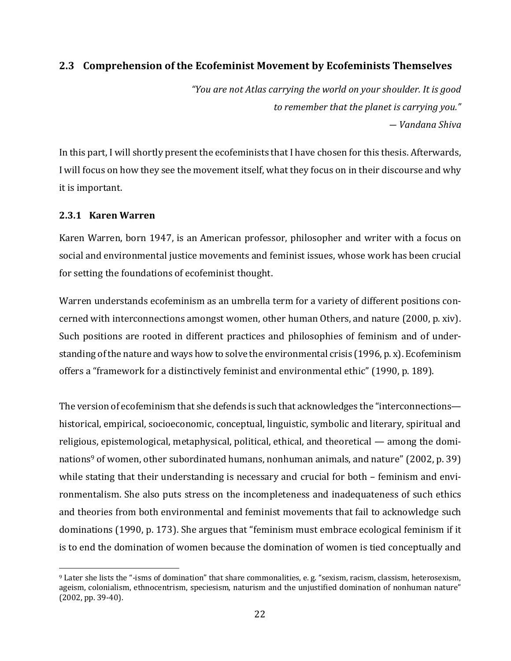# <span id="page-21-0"></span>**2.3 Comprehension of the Ecofeminist Movement by Ecofeminists Themselves**

*"You are not Atlas carrying the world on your shoulder. It is good to remember that the planet is carrying you." ― Vandana Shiva*

In this part, I will shortly present the ecofeminists that I have chosen for this thesis. Afterwards, I will focus on how they see the movement itself, what they focus on in their discourse and why it is important.

### <span id="page-21-1"></span>**2.3.1 Karen Warren**

l

Karen Warren, born 1947, is an American professor, philosopher and writer with a focus on social and environmental justice movements and feminist issues, whose work has been crucial for setting the foundations of ecofeminist thought.

Warren understands ecofeminism as an umbrella term for a variety of different positions concerned with interconnections amongst women, other human Others, and nature (2000, p. xiv). Such positions are rooted in different practices and philosophies of feminism and of understanding of the nature and ways how to solve the environmental crisis (1996, p. x). Ecofeminism offers a "framework for a distinctively feminist and environmental ethic" (1990, p. 189).

The version of ecofeminism that she defends is such that acknowledges the "interconnections historical, empirical, socioeconomic, conceptual, linguistic, symbolic and literary, spiritual and religious, epistemological, metaphysical, political, ethical, and theoretical — among the dominations<sup>9</sup> of women, other subordinated humans, nonhuman animals, and nature" (2002, p. 39) while stating that their understanding is necessary and crucial for both – feminism and environmentalism. She also puts stress on the incompleteness and inadequateness of such ethics and theories from both environmental and feminist movements that fail to acknowledge such dominations (1990, p. 173). She argues that "feminism must embrace ecological feminism if it is to end the domination of women because the domination of women is tied conceptually and

<sup>9</sup> Later she lists the "-isms of domination" that share commonalities, e. g. "sexism, racism, classism, heterosexism, ageism, colonialism, ethnocentrism, speciesism, naturism and the unjustified domination of nonhuman nature" (2002, pp. 39-40).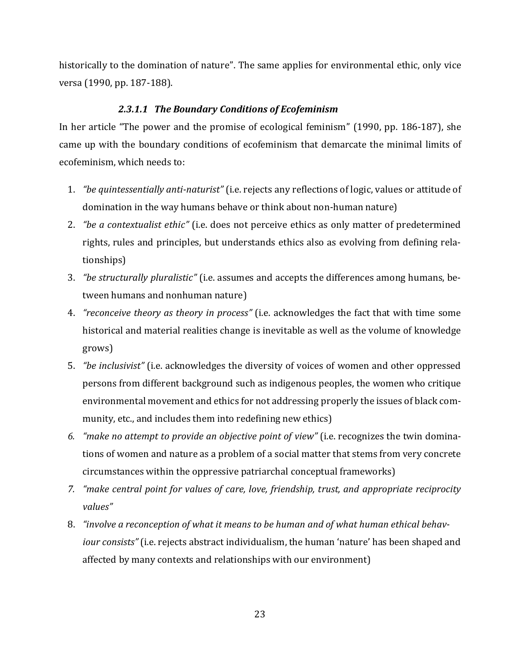historically to the domination of nature". The same applies for environmental ethic, only vice versa (1990, pp. 187-188).

### *2.3.1.1 The Boundary Conditions of Ecofeminism*

In her article "The power and the promise of ecological feminism" (1990, pp. 186-187), she came up with the boundary conditions of ecofeminism that demarcate the minimal limits of ecofeminism, which needs to:

- 1. *"be quintessentially anti-naturist"* (i.e. rejects any reflections of logic, values or attitude of domination in the way humans behave or think about non-human nature)
- 2. *"be a contextualist ethic"* (i.e. does not perceive ethics as only matter of predetermined rights, rules and principles, but understands ethics also as evolving from defining relationships)
- 3. *"be structurally pluralistic"* (i.e. assumes and accepts the differences among humans, between humans and nonhuman nature)
- 4. *"reconceive theory as theory in process"* (i.e. acknowledges the fact that with time some historical and material realities change is inevitable as well as the volume of knowledge grows)
- 5. *"be inclusivist"* (i.e. acknowledges the diversity of voices of women and other oppressed persons from different background such as indigenous peoples, the women who critique environmental movement and ethics for not addressing properly the issues of black community, etc., and includes them into redefining new ethics)
- *6. "make no attempt to provide an objective point of view"* (i.e. recognizes the twin dominations of women and nature as a problem of a social matter that stems from very concrete circumstances within the oppressive patriarchal conceptual frameworks)
- *7. "make central point for values of care, love, friendship, trust, and appropriate reciprocity values"*
- 8. *"involve a reconception of what it means to be human and of what human ethical behaviour consists"* (i.e. rejects abstract individualism, the human 'nature' has been shaped and affected by many contexts and relationships with our environment)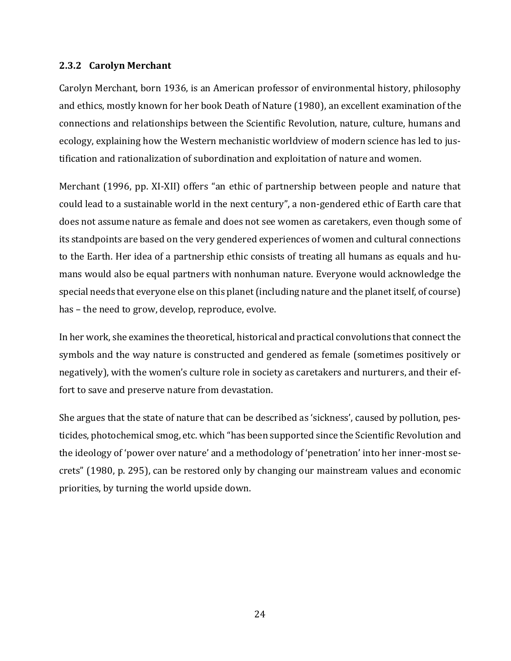#### <span id="page-23-0"></span>**2.3.2 Carolyn Merchant**

Carolyn Merchant, born 1936, is an American professor of environmental history, philosophy and ethics, mostly known for her book Death of Nature (1980), an excellent examination of the connections and relationships between the Scientific Revolution, nature, culture, humans and ecology, explaining how the Western mechanistic worldview of modern science has led to justification and rationalization of subordination and exploitation of nature and women.

Merchant (1996, pp. XI-XII) offers "an ethic of partnership between people and nature that could lead to a sustainable world in the next century", a non-gendered ethic of Earth care that does not assume nature as female and does not see women as caretakers, even though some of its standpoints are based on the very gendered experiences of women and cultural connections to the Earth. Her idea of a partnership ethic consists of treating all humans as equals and humans would also be equal partners with nonhuman nature. Everyone would acknowledge the special needs that everyone else on this planet (including nature and the planet itself, of course) has – the need to grow, develop, reproduce, evolve.

In her work, she examines the theoretical, historical and practical convolutions that connect the symbols and the way nature is constructed and gendered as female (sometimes positively or negatively), with the women's culture role in society as caretakers and nurturers, and their effort to save and preserve nature from devastation.

She argues that the state of nature that can be described as 'sickness', caused by pollution, pesticides, photochemical smog, etc. which "has been supported since the Scientific Revolution and the ideology of 'power over nature' and a methodology of 'penetration' into her inner-most secrets" (1980, p. 295), can be restored only by changing our mainstream values and economic priorities, by turning the world upside down.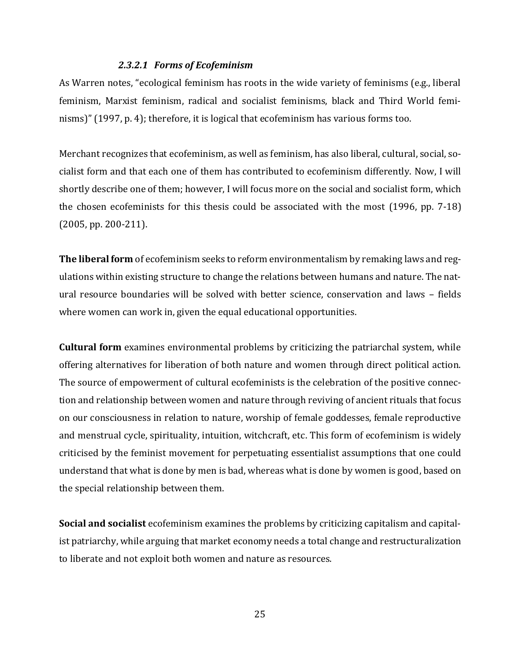#### *2.3.2.1 Forms of Ecofeminism*

As Warren notes, "ecological feminism has roots in the wide variety of feminisms (e.g., liberal feminism, Marxist feminism, radical and socialist feminisms, black and Third World feminisms)" (1997, p. 4); therefore, it is logical that ecofeminism has various forms too.

Merchant recognizes that ecofeminism, as well as feminism, has also liberal, cultural, social, socialist form and that each one of them has contributed to ecofeminism differently. Now, I will shortly describe one of them; however, I will focus more on the social and socialist form, which the chosen ecofeminists for this thesis could be associated with the most (1996, pp. 7-18) (2005, pp. 200-211).

**The liberal form** of ecofeminism seeks to reform environmentalism by remaking laws and regulations within existing structure to change the relations between humans and nature. The natural resource boundaries will be solved with better science, conservation and laws – fields where women can work in, given the equal educational opportunities.

**Cultural form** examines environmental problems by criticizing the patriarchal system, while offering alternatives for liberation of both nature and women through direct political action. The source of empowerment of cultural ecofeminists is the celebration of the positive connection and relationship between women and nature through reviving of ancient rituals that focus on our consciousness in relation to nature, worship of female goddesses, female reproductive and menstrual cycle, spirituality, intuition, witchcraft, etc. This form of ecofeminism is widely criticised by the feminist movement for perpetuating essentialist assumptions that one could understand that what is done by men is bad, whereas what is done by women is good, based on the special relationship between them.

**Social and socialist** ecofeminism examines the problems by criticizing capitalism and capitalist patriarchy, while arguing that market economy needs a total change and restructuralization to liberate and not exploit both women and nature as resources.

25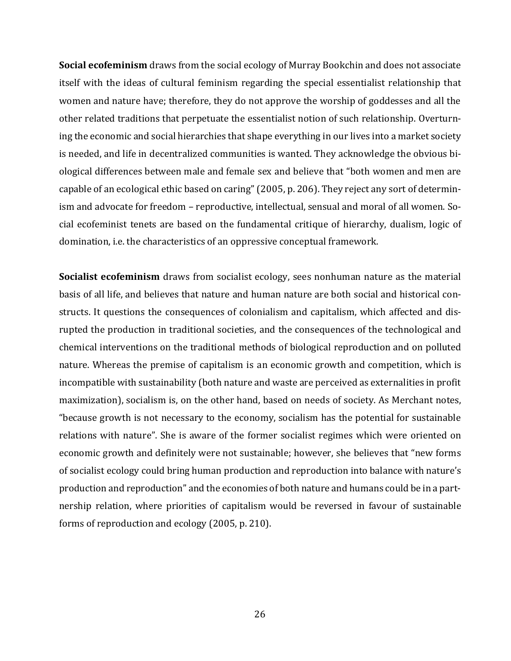**Social ecofeminism** draws from the social ecology of Murray Bookchin and does not associate itself with the ideas of cultural feminism regarding the special essentialist relationship that women and nature have; therefore, they do not approve the worship of goddesses and all the other related traditions that perpetuate the essentialist notion of such relationship. Overturning the economic and social hierarchies that shape everything in our lives into a market society is needed, and life in decentralized communities is wanted. They acknowledge the obvious biological differences between male and female sex and believe that "both women and men are capable of an ecological ethic based on caring" (2005, p. 206). They reject any sort of determinism and advocate for freedom – reproductive, intellectual, sensual and moral of all women. Social ecofeminist tenets are based on the fundamental critique of hierarchy, dualism, logic of domination, i.e. the characteristics of an oppressive conceptual framework.

**Socialist ecofeminism** draws from socialist ecology, sees nonhuman nature as the material basis of all life, and believes that nature and human nature are both social and historical constructs. It questions the consequences of colonialism and capitalism, which affected and disrupted the production in traditional societies, and the consequences of the technological and chemical interventions on the traditional methods of biological reproduction and on polluted nature. Whereas the premise of capitalism is an economic growth and competition, which is incompatible with sustainability (both nature and waste are perceived as externalities in profit maximization), socialism is, on the other hand, based on needs of society. As Merchant notes, "because growth is not necessary to the economy, socialism has the potential for sustainable relations with nature". She is aware of the former socialist regimes which were oriented on economic growth and definitely were not sustainable; however, she believes that "new forms of socialist ecology could bring human production and reproduction into balance with nature's production and reproduction" and the economies of both nature and humans could be in a partnership relation, where priorities of capitalism would be reversed in favour of sustainable forms of reproduction and ecology (2005, p. 210).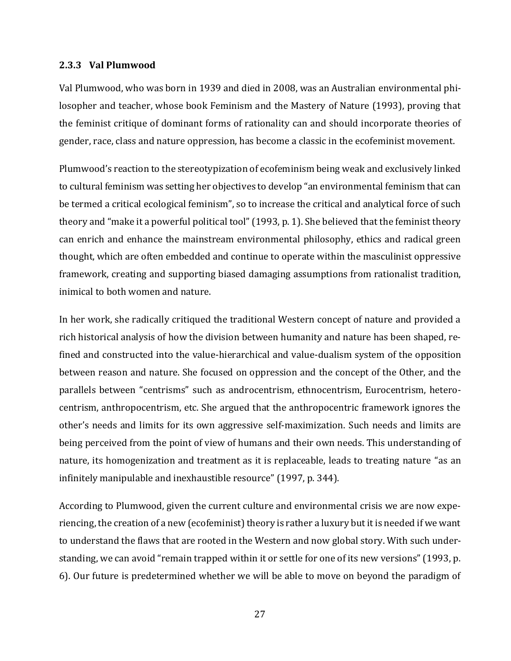#### <span id="page-26-0"></span>**2.3.3 Val Plumwood**

Val Plumwood, who was born in 1939 and died in 2008, was an Australian environmental philosopher and teacher, whose book Feminism and the Mastery of Nature (1993), proving that the feminist critique of dominant forms of rationality can and should incorporate theories of gender, race, class and nature oppression, has become a classic in the ecofeminist movement.

Plumwood's reaction to the stereotypization of ecofeminism being weak and exclusively linked to cultural feminism was setting her objectives to develop "an environmental feminism that can be termed a critical ecological feminism", so to increase the critical and analytical force of such theory and "make it a powerful political tool" (1993, p. 1). She believed that the feminist theory can enrich and enhance the mainstream environmental philosophy, ethics and radical green thought, which are often embedded and continue to operate within the masculinist oppressive framework, creating and supporting biased damaging assumptions from rationalist tradition, inimical to both women and nature.

In her work, she radically critiqued the traditional Western concept of nature and provided a rich historical analysis of how the division between humanity and nature has been shaped, refined and constructed into the value-hierarchical and value-dualism system of the opposition between reason and nature. She focused on oppression and the concept of the Other, and the parallels between "centrisms" such as androcentrism, ethnocentrism, Eurocentrism, heterocentrism, anthropocentrism, etc. She argued that the anthropocentric framework ignores the other's needs and limits for its own aggressive self-maximization. Such needs and limits are being perceived from the point of view of humans and their own needs. This understanding of nature, its homogenization and treatment as it is replaceable, leads to treating nature "as an infinitely manipulable and inexhaustible resource" (1997, p. 344).

According to Plumwood, given the current culture and environmental crisis we are now experiencing, the creation of a new (ecofeminist) theory is rather a luxury but it is needed if we want to understand the flaws that are rooted in the Western and now global story. With such understanding, we can avoid "remain trapped within it or settle for one of its new versions" (1993, p. 6). Our future is predetermined whether we will be able to move on beyond the paradigm of

27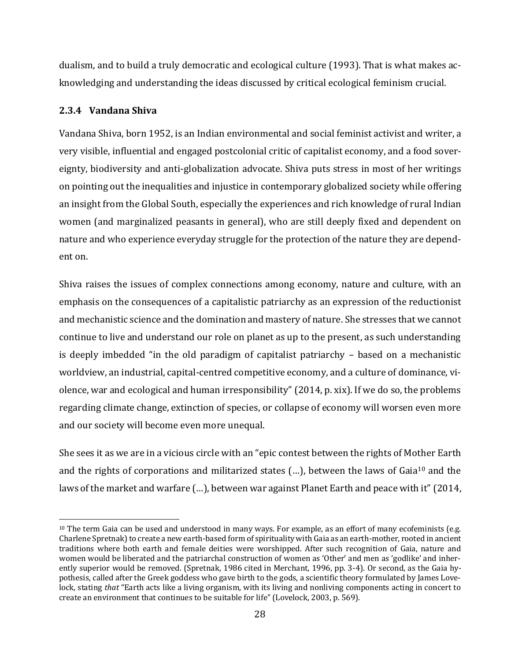dualism, and to build a truly democratic and ecological culture (1993). That is what makes acknowledging and understanding the ideas discussed by critical ecological feminism crucial.

## <span id="page-27-0"></span>**2.3.4 Vandana Shiva**

 $\overline{\phantom{a}}$ 

Vandana Shiva, born 1952, is an Indian environmental and social feminist activist and writer, a very visible, influential and engaged postcolonial critic of capitalist economy, and a food sovereignty, biodiversity and anti-globalization advocate. Shiva puts stress in most of her writings on pointing out the inequalities and injustice in contemporary globalized society while offering an insight from the Global South, especially the experiences and rich knowledge of rural Indian women (and marginalized peasants in general), who are still deeply fixed and dependent on nature and who experience everyday struggle for the protection of the nature they are dependent on.

Shiva raises the issues of complex connections among economy, nature and culture, with an emphasis on the consequences of a capitalistic patriarchy as an expression of the reductionist and mechanistic science and the domination and mastery of nature.She stresses that we cannot continue to live and understand our role on planet as up to the present, as such understanding is deeply imbedded "in the old paradigm of capitalist patriarchy – based on a mechanistic worldview, an industrial, capital-centred competitive economy, and a culture of dominance, violence, war and ecological and human irresponsibility" (2014, p. xix). If we do so, the problems regarding climate change, extinction of species, or collapse of economy will worsen even more and our society will become even more unequal.

She sees it as we are in a vicious circle with an "epic contest between the rights of Mother Earth and the rights of corporations and militarized states  $(...)$ , between the laws of Gaia<sup>10</sup> and the laws of the market and warfare (…), between war against Planet Earth and peace with it" (2014,

 $10$  The term Gaia can be used and understood in many ways. For example, as an effort of many ecofeminists (e.g. Charlene Spretnak) to create a new earth-based form of spirituality with Gaia as an earth-mother, rooted in ancient traditions where both earth and female deities were worshipped. After such recognition of Gaia, nature and women would be liberated and the patriarchal construction of women as 'Other' and men as 'godlike' and inherently superior would be removed. (Spretnak, 1986 cited in Merchant, 1996, pp. 3-4). Or second, as the Gaia hypothesis, called after the Greek goddess who gave birth to the gods, a scientific theory formulated by James Lovelock, stating *that* "Earth acts like a living organism, with its living and nonliving components acting in concert to create an environment that continues to be suitable for life" (Lovelock, 2003, p. 569).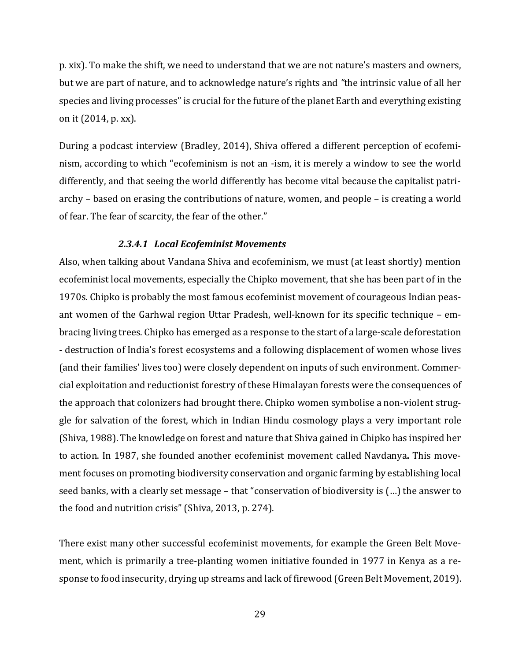p. xix). To make the shift, we need to understand that we are not nature's masters and owners, but we are part of nature, and to acknowledge nature's rights and *"*the intrinsic value of all her species and living processes" is crucial for the future of the planet Earth and everything existing on it (2014, p. xx).

During a podcast interview (Bradley, 2014), Shiva offered a different perception of ecofeminism, according to which "ecofeminism is not an -ism, it is merely a window to see the world differently, and that seeing the world differently has become vital because the capitalist patriarchy – based on erasing the contributions of nature, women, and people – is creating a world of fear. The fear of scarcity, the fear of the other."

#### *2.3.4.1 Local Ecofeminist Movements*

Also, when talking about Vandana Shiva and ecofeminism, we must (at least shortly) mention ecofeminist local movements, especially the Chipko movement, that she has been part of in the 1970s. Chipko is probably the most famous ecofeminist movement of courageous Indian peasant women of the Garhwal region Uttar Pradesh, well-known for its specific technique – embracing living trees. Chipko has emerged as a response to the start of a large-scale deforestation - destruction of India's forest ecosystems and a following displacement of women whose lives (and their families' lives too) were closely dependent on inputs of such environment. Commercial exploitation and reductionist forestry of these Himalayan forests were the consequences of the approach that colonizers had brought there. Chipko women symbolise a non-violent struggle for salvation of the forest, which in Indian Hindu cosmology plays a very important role (Shiva, 1988). The knowledge on forest and nature that Shiva gained in Chipko has inspired her to action. In 1987, she founded another ecofeminist movement called Navdanya**.** This movement focuses on promoting biodiversity conservation and organic farming by establishing local seed banks, with a clearly set message – that "conservation of biodiversity is (…) the answer to the food and nutrition crisis" (Shiva, 2013, p. 274).

There exist many other successful ecofeminist movements, for example the Green Belt Movement, which is primarily a tree-planting women initiative founded in 1977 in Kenya as a response to food insecurity, drying up streams and lack of firewood (Green Belt Movement, 2019).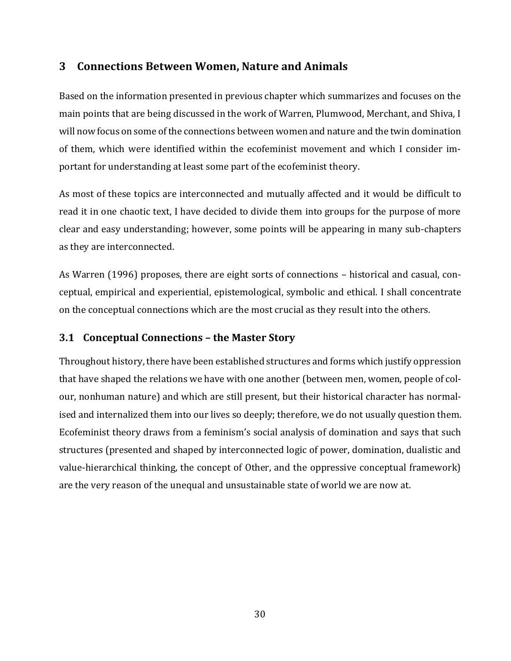# <span id="page-29-0"></span>**3 Connections Between Women, Nature and Animals**

Based on the information presented in previous chapter which summarizes and focuses on the main points that are being discussed in the work of Warren, Plumwood, Merchant, and Shiva, I will now focus on some of the connections between women and nature and the twin domination of them, which were identified within the ecofeminist movement and which I consider important for understanding at least some part of the ecofeminist theory.

As most of these topics are interconnected and mutually affected and it would be difficult to read it in one chaotic text, I have decided to divide them into groups for the purpose of more clear and easy understanding; however, some points will be appearing in many sub-chapters as they are interconnected.

As Warren (1996) proposes, there are eight sorts of connections – historical and casual, conceptual, empirical and experiential, epistemological, symbolic and ethical. I shall concentrate on the conceptual connections which are the most crucial as they result into the others.

## <span id="page-29-1"></span>**3.1 Conceptual Connections – the Master Story**

Throughout history, there have been established structures and forms which justify oppression that have shaped the relations we have with one another (between men, women, people of colour, nonhuman nature) and which are still present, but their historical character has normalised and internalized them into our lives so deeply; therefore, we do not usually question them. Ecofeminist theory draws from a feminism's social analysis of domination and says that such structures (presented and shaped by interconnected logic of power, domination, dualistic and value-hierarchical thinking, the concept of Other, and the oppressive conceptual framework) are the very reason of the unequal and unsustainable state of world we are now at.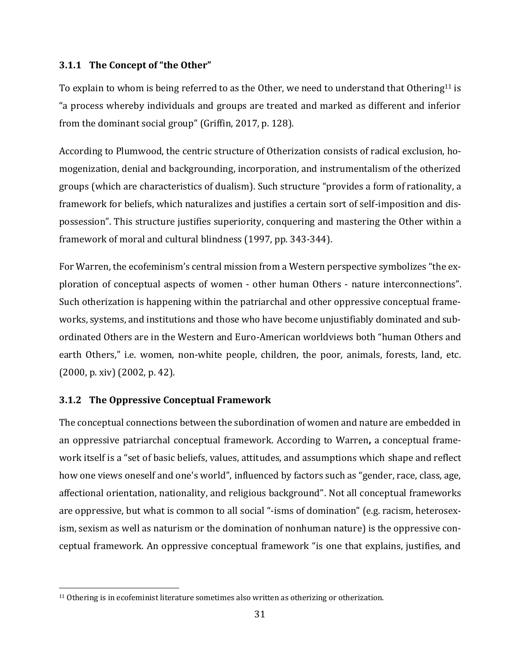## <span id="page-30-0"></span>**3.1.1 The Concept of "the Other"**

To explain to whom is being referred to as the Other, we need to understand that Othering<sup>11</sup> is "a process whereby individuals and groups are treated and marked as different and inferior from the dominant social group" (Griffin, 2017, p. 128).

According to Plumwood, the centric structure of Otherization consists of radical exclusion, homogenization, denial and backgrounding, incorporation, and instrumentalism of the otherized groups (which are characteristics of dualism). Such structure "provides a form of rationality, a framework for beliefs, which naturalizes and justifies a certain sort of self-imposition and dispossession". This structure justifies superiority, conquering and mastering the Other within a framework of moral and cultural blindness (1997, pp. 343-344).

For Warren, the ecofeminism's central mission from a Western perspective symbolizes "the exploration of conceptual aspects of women - other human Others - nature interconnections". Such otherization is happening within the patriarchal and other oppressive conceptual frameworks, systems, and institutions and those who have become unjustifiably dominated and subordinated Others are in the Western and Euro-American worldviews both "human Others and earth Others," i.e. women, non-white people, children, the poor, animals, forests, land, etc. (2000, p. xiv) (2002, p. 42).

## <span id="page-30-1"></span>**3.1.2 The Oppressive Conceptual Framework**

 $\overline{\phantom{a}}$ 

The conceptual connections between the subordination of women and nature are embedded in an oppressive patriarchal conceptual framework. According to Warren**,** a conceptual framework itself is a "set of basic beliefs, values, attitudes, and assumptions which shape and reflect how one views oneself and one's world", influenced by factors such as "gender, race, class, age, affectional orientation, nationality, and religious background". Not all conceptual frameworks are oppressive, but what is common to all social "-isms of domination" (e.g. racism, heterosexism, sexism as well as naturism or the domination of nonhuman nature) is the oppressive conceptual framework. An oppressive conceptual framework "is one that explains, justifies, and

<sup>11</sup> Othering is in ecofeminist literature sometimes also written as otherizing or otherization.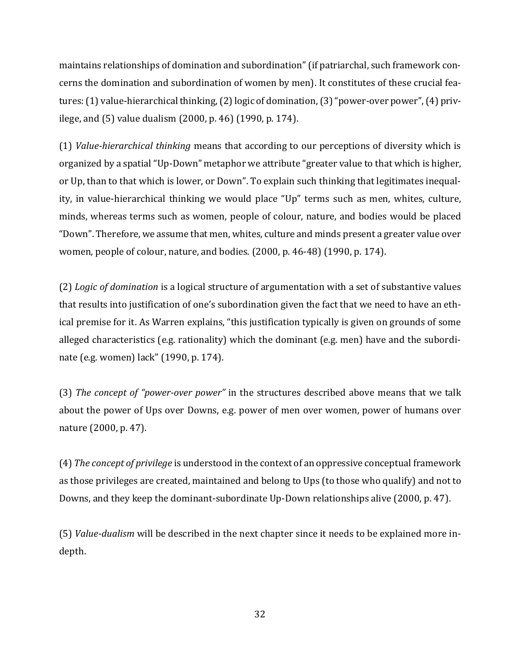maintains relationships of domination and subordination" (if patriarchal, such framework concerns the domination and subordination of women by men). It constitutes of these crucial features:(1) value-hierarchical thinking, (2) logic of domination, (3)"power-over power", (4) privilege, and (5) value dualism (2000, p. 46) (1990, p. 174).

(1) *Value-hierarchical thinking* means that according to our perceptions of diversity which is organized by a spatial "Up-Down" metaphor we attribute "greater value to that which is higher, or Up, than to that which is lower, or Down". To explain such thinking that legitimates inequality, in value-hierarchical thinking we would place "Up" terms such as men, whites, culture, minds, whereas terms such as women, people of colour, nature, and bodies would be placed "Down". Therefore, we assume that men, whites, culture and minds present a greater value over women, people of colour, nature, and bodies. (2000, p. 46-48) (1990, p. 174).

(2) *Logic of domination* is a logical structure of argumentation with a set of substantive values that results into justification of one's subordination given the fact that we need to have an ethical premise for it. As Warren explains, "this justification typically is given on grounds of some alleged characteristics (e.g. rationality) which the dominant (e.g. men) have and the subordinate (e.g. women) lack" (1990, p. 174).

(3) *The concept of "power-over power"* in the structures described above means that we talk about the power of Ups over Downs, e.g. power of men over women, power of humans over nature (2000, p. 47).

(4) *The concept of privilege* is understood in the context of an oppressive conceptual framework as those privileges are created, maintained and belong to Ups (to those who qualify) and not to Downs, and they keep the dominant-subordinate Up-Down relationships alive (2000, p. 47).

(5) *Value-dualism* will be described in the next chapter since it needs to be explained more indepth.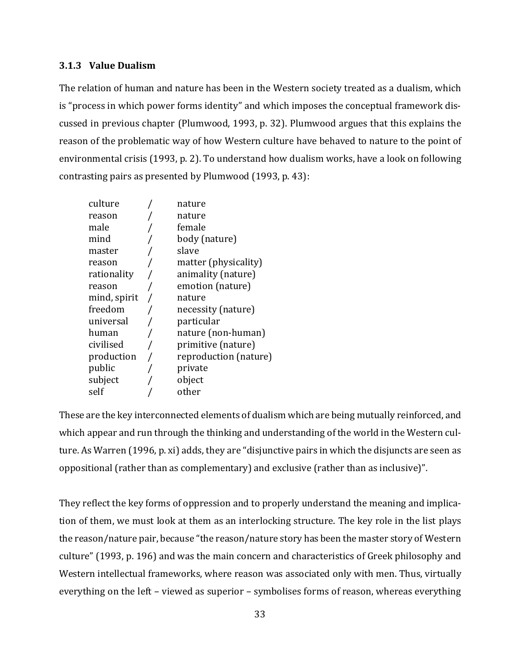#### <span id="page-32-0"></span>**3.1.3 Value Dualism**

The relation of human and nature has been in the Western society treated as a dualism, which is "process in which power forms identity" and which imposes the conceptual framework discussed in previous chapter (Plumwood, 1993, p. 32). Plumwood argues that this explains the reason of the problematic way of how Western culture have behaved to nature to the point of environmental crisis (1993, p. 2). To understand how dualism works, have a look on following contrasting pairs as presented by Plumwood (1993, p. 43):

| culture      | nature                |
|--------------|-----------------------|
| reason       | nature                |
| male         | female                |
| mind         | body (nature)         |
| master       | slave                 |
| reason       | matter (physicality)  |
| rationality  | animality (nature)    |
| reason       | emotion (nature)      |
| mind, spirit | nature                |
| freedom      | necessity (nature)    |
| universal    | particular            |
| human        | nature (non-human)    |
| civilised    | primitive (nature)    |
| production   | reproduction (nature) |
| public       | private               |
| subject      | object                |
| self         | other                 |
|              |                       |

These are the key interconnected elements of dualism which are being mutually reinforced, and which appear and run through the thinking and understanding of the world in the Western culture. As Warren (1996, p. xi) adds, they are "disjunctive pairs in which the disjuncts are seen as oppositional (rather than as complementary) and exclusive (rather than as inclusive)".

They reflect the key forms of oppression and to properly understand the meaning and implication of them, we must look at them as an interlocking structure. The key role in the list plays the reason/nature pair, because "the reason/nature story has been the master story of Western culture" (1993, p. 196) and was the main concern and characteristics of Greek philosophy and Western intellectual frameworks, where reason was associated only with men. Thus, virtually everything on the left – viewed as superior – symbolises forms of reason, whereas everything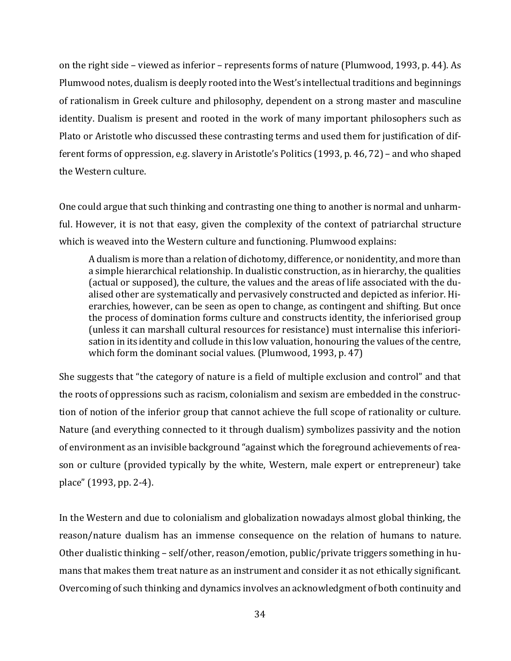on the right side – viewed as inferior – represents forms of nature (Plumwood, 1993, p. 44). As Plumwood notes, dualism is deeply rooted into the West's intellectual traditions and beginnings of rationalism in Greek culture and philosophy, dependent on a strong master and masculine identity. Dualism is present and rooted in the work of many important philosophers such as Plato or Aristotle who discussed these contrasting terms and used them for justification of different forms of oppression, e.g. slavery in Aristotle's Politics (1993, p. 46, 72) – and who shaped the Western culture.

One could argue that such thinking and contrasting one thing to another is normal and unharmful. However, it is not that easy, given the complexity of the context of patriarchal structure which is weaved into the Western culture and functioning. Plumwood explains:

A dualism is more than a relation of dichotomy, difference, or nonidentity, and more than a simple hierarchical relationship. In dualistic construction, as in hierarchy, the qualities (actual or supposed), the culture, the values and the areas of life associated with the dualised other are systematically and pervasively constructed and depicted as inferior. Hierarchies, however, can be seen as open to change, as contingent and shifting. But once the process of domination forms culture and constructs identity, the inferiorised group (unless it can marshall cultural resources for resistance) must internalise this inferiorisation in its identity and collude in this low valuation, honouring the values of the centre, which form the dominant social values. (Plumwood, 1993, p. 47)

She suggests that "the category of nature is a field of multiple exclusion and control" and that the roots of oppressions such as racism, colonialism and sexism are embedded in the construction of notion of the inferior group that cannot achieve the full scope of rationality or culture. Nature (and everything connected to it through dualism) symbolizes passivity and the notion of environment as an invisible background "against which the foreground achievements of reason or culture (provided typically by the white, Western, male expert or entrepreneur) take place" (1993, pp. 2-4).

In the Western and due to colonialism and globalization nowadays almost global thinking, the reason/nature dualism has an immense consequence on the relation of humans to nature. Other dualistic thinking – self/other, reason/emotion, public/private triggers something in humans that makes them treat nature as an instrument and consider it as not ethically significant. Overcoming of such thinking and dynamics involves an acknowledgment of both continuity and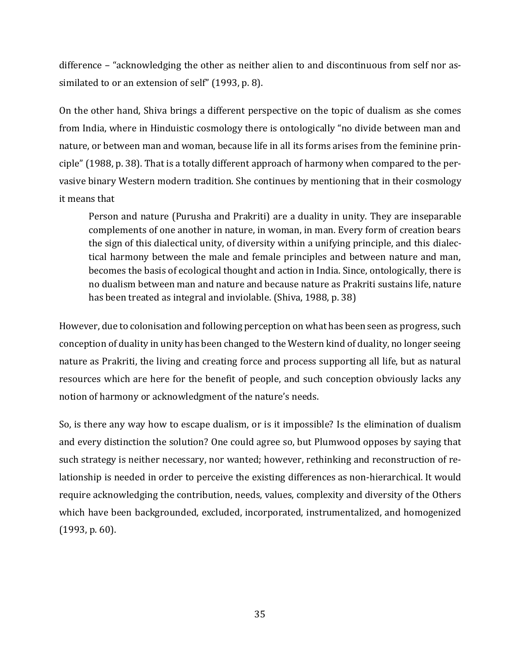difference – "acknowledging the other as neither alien to and discontinuous from self nor assimilated to or an extension of self" (1993, p. 8).

On the other hand, Shiva brings a different perspective on the topic of dualism as she comes from India, where in Hinduistic cosmology there is ontologically "no divide between man and nature, or between man and woman, because life in all its forms arises from the feminine principle" (1988, p. 38). That is a totally different approach of harmony when compared to the pervasive binary Western modern tradition. She continues by mentioning that in their cosmology it means that

Person and nature (Purusha and Prakriti) are a duality in unity. They are inseparable complements of one another in nature, in woman, in man. Every form of creation bears the sign of this dialectical unity, of diversity within a unifying principle, and this dialectical harmony between the male and female principles and between nature and man, becomes the basis of ecological thought and action in India. Since, ontologically, there is no dualism between man and nature and because nature as Prakriti sustains life, nature has been treated as integral and inviolable. (Shiva, 1988, p. 38)

However, due to colonisation and following perception on what has been seen as progress, such conception of duality in unity has been changed to the Western kind of duality, no longer seeing nature as Prakriti, the living and creating force and process supporting all life, but as natural resources which are here for the benefit of people, and such conception obviously lacks any notion of harmony or acknowledgment of the nature's needs.

So, is there any way how to escape dualism, or is it impossible? Is the elimination of dualism and every distinction the solution? One could agree so, but Plumwood opposes by saying that such strategy is neither necessary, nor wanted; however, rethinking and reconstruction of relationship is needed in order to perceive the existing differences as non-hierarchical. It would require acknowledging the contribution, needs, values, complexity and diversity of the Others which have been backgrounded, excluded, incorporated, instrumentalized, and homogenized (1993, p. 60).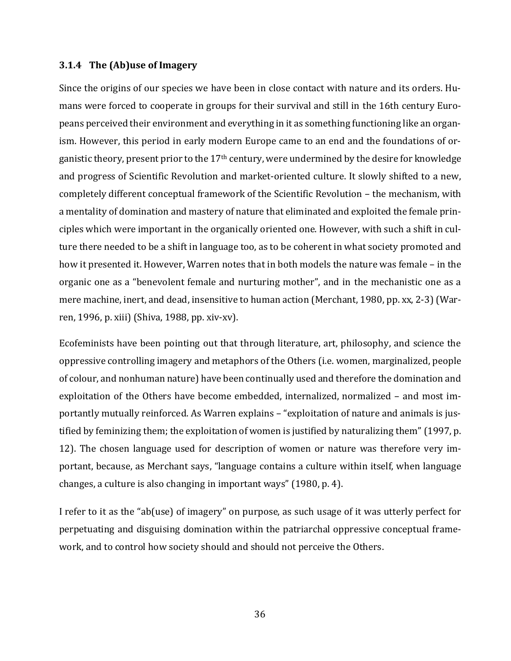#### <span id="page-35-0"></span>**3.1.4 The (Ab)use of Imagery**

Since the origins of our species we have been in close contact with nature and its orders. Humans were forced to cooperate in groups for their survival and still in the 16th century Europeans perceived their environment and everything in it as something functioning like an organism. However, this period in early modern Europe came to an end and the foundations of organistic theory, present prior to the 17<sup>th</sup> century, were undermined by the desire for knowledge and progress of Scientific Revolution and market-oriented culture. It slowly shifted to a new, completely different conceptual framework of the Scientific Revolution – the mechanism, with a mentality of domination and mastery of nature that eliminated and exploited the female principles which were important in the organically oriented one. However, with such a shift in culture there needed to be a shift in language too, as to be coherent in what society promoted and how it presented it. However, Warren notes that in both models the nature was female – in the organic one as a "benevolent female and nurturing mother", and in the mechanistic one as a mere machine, inert, and dead, insensitive to human action (Merchant, 1980, pp. xx, 2-3) (Warren, 1996, p. xiii) (Shiva, 1988, pp. xiv-xv).

Ecofeminists have been pointing out that through literature, art, philosophy, and science the oppressive controlling imagery and metaphors of the Others (i.e. women, marginalized, people of colour, and nonhuman nature) have been continually used and therefore the domination and exploitation of the Others have become embedded, internalized, normalized – and most importantly mutually reinforced. As Warren explains – "exploitation of nature and animals is justified by feminizing them; the exploitation of women is justified by naturalizing them" (1997, p. 12). The chosen language used for description of women or nature was therefore very important, because, as Merchant says, "language contains a culture within itself, when language changes, a culture is also changing in important ways" (1980, p. 4).

I refer to it as the "ab(use) of imagery" on purpose, as such usage of it was utterly perfect for perpetuating and disguising domination within the patriarchal oppressive conceptual framework, and to control how society should and should not perceive the Others.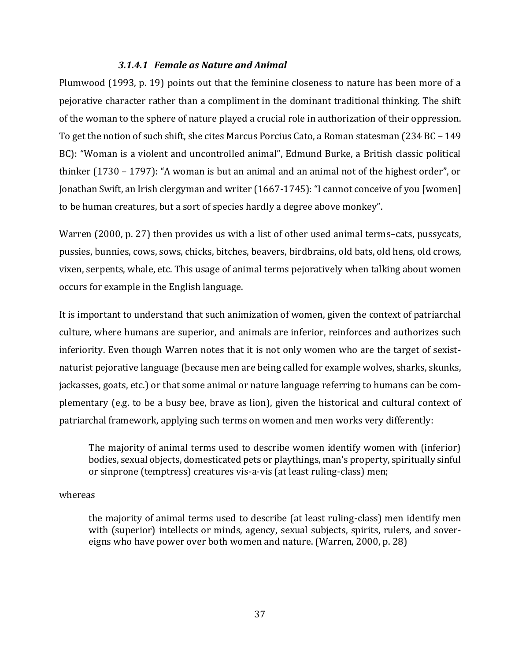#### *3.1.4.1 Female as Nature and Animal*

Plumwood (1993, p. 19) points out that the feminine closeness to nature has been more of a pejorative character rather than a compliment in the dominant traditional thinking. The shift of the woman to the sphere of nature played a crucial role in authorization of their oppression. To get the notion of such shift, she cites Marcus Porcius Cato, a Roman statesman (234 BC – 149 BC): "Woman is a violent and uncontrolled animal", Edmund Burke, a British classic political thinker (1730 – 1797): "A woman is but an animal and an animal not of the highest order", or Jonathan Swift, an Irish clergyman and writer (1667-1745): "I cannot conceive of you [women] to be human creatures, but a sort of species hardly a degree above monkey".

Warren (2000, p. 27) then provides us with a list of other used animal terms-cats, pussycats, pussies, bunnies, cows, sows, chicks, bitches, beavers, birdbrains, old bats, old hens, old crows, vixen, serpents, whale, etc. This usage of animal terms pejoratively when talking about women occurs for example in the English language.

It is important to understand that such animization of women, given the context of patriarchal culture, where humans are superior, and animals are inferior, reinforces and authorizes such inferiority. Even though Warren notes that it is not only women who are the target of sexistnaturist pejorative language (because men are being called for example wolves, sharks, skunks, jackasses, goats, etc.) or that some animal or nature language referring to humans can be complementary (e.g. to be a busy bee, brave as lion), given the historical and cultural context of patriarchal framework, applying such terms on women and men works very differently:

The majority of animal terms used to describe women identify women with (inferior) bodies, sexual objects, domesticated pets or playthings, man's property, spiritually sinful or sinprone (temptress) creatures vis-a-vis (at least ruling-class) men;

### whereas

the majority of animal terms used to describe (at least ruling-class) men identify men with (superior) intellects or minds, agency, sexual subjects, spirits, rulers, and sovereigns who have power over both women and nature. (Warren, 2000, p. 28)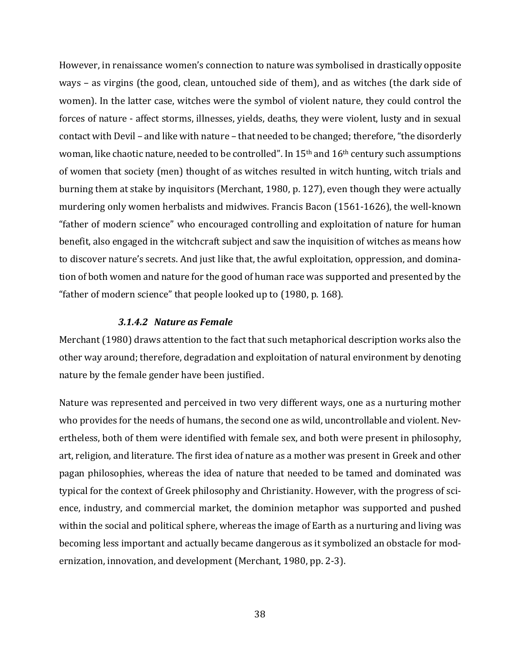However, in renaissance women's connection to nature was symbolised in drastically opposite ways – as virgins (the good, clean, untouched side of them), and as witches (the dark side of women). In the latter case, witches were the symbol of violent nature, they could control the forces of nature - affect storms, illnesses, yields, deaths, they were violent, lusty and in sexual contact with Devil – and like with nature – that needed to be changed; therefore, "the disorderly woman, like chaotic nature, needed to be controlled". In 15<sup>th</sup> and 16<sup>th</sup> century such assumptions of women that society (men) thought of as witches resulted in witch hunting, witch trials and burning them at stake by inquisitors (Merchant, 1980, p. 127), even though they were actually murdering only women herbalists and midwives. Francis Bacon (1561-1626), the well-known "father of modern science" who encouraged controlling and exploitation of nature for human benefit, also engaged in the witchcraft subject and saw the inquisition of witches as means how to discover nature's secrets. And just like that, the awful exploitation, oppression, and domination of both women and nature for the good of human race was supported and presented by the "father of modern science" that people looked up to (1980, p. 168).

#### *3.1.4.2 Nature as Female*

Merchant (1980) draws attention to the fact that such metaphorical description works also the other way around; therefore, degradation and exploitation of natural environment by denoting nature by the female gender have been justified.

Nature was represented and perceived in two very different ways, one as a nurturing mother who provides for the needs of humans, the second one as wild, uncontrollable and violent. Nevertheless, both of them were identified with female sex, and both were present in philosophy, art, religion, and literature. The first idea of nature as a mother was present in Greek and other pagan philosophies, whereas the idea of nature that needed to be tamed and dominated was typical for the context of Greek philosophy and Christianity. However, with the progress of science, industry, and commercial market, the dominion metaphor was supported and pushed within the social and political sphere, whereas the image of Earth as a nurturing and living was becoming less important and actually became dangerous as it symbolized an obstacle for modernization, innovation, and development (Merchant, 1980, pp. 2-3).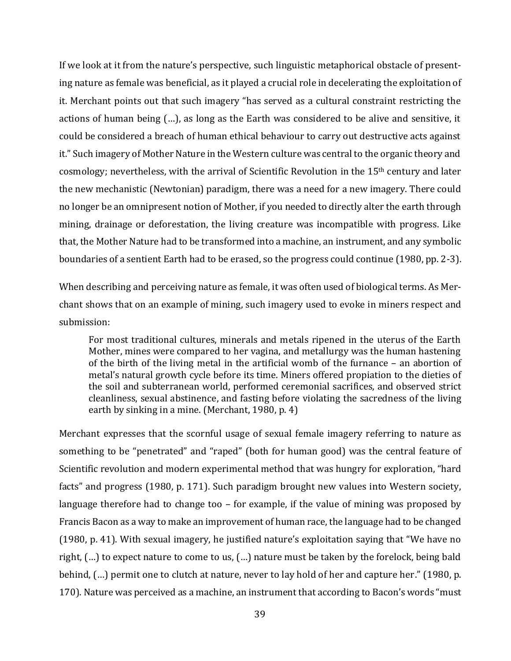If we look at it from the nature's perspective, such linguistic metaphorical obstacle of presenting nature as female was beneficial, as it played a crucial role in decelerating the exploitation of it. Merchant points out that such imagery "has served as a cultural constraint restricting the actions of human being (…), as long as the Earth was considered to be alive and sensitive, it could be considered a breach of human ethical behaviour to carry out destructive acts against it." Such imagery of Mother Nature in the Western culture was central to the organic theory and cosmology; nevertheless, with the arrival of Scientific Revolution in the 15th century and later the new mechanistic (Newtonian) paradigm, there was a need for a new imagery. There could no longer be an omnipresent notion of Mother, if you needed to directly alter the earth through mining, drainage or deforestation, the living creature was incompatible with progress. Like that, the Mother Nature had to be transformed into a machine, an instrument, and any symbolic boundaries of a sentient Earth had to be erased, so the progress could continue (1980, pp. 2-3).

When describing and perceiving nature as female, it was often used of biological terms. As Merchant shows that on an example of mining, such imagery used to evoke in miners respect and submission:

For most traditional cultures, minerals and metals ripened in the uterus of the Earth Mother, mines were compared to her vagina, and metallurgy was the human hastening of the birth of the living metal in the artificial womb of the furnance – an abortion of metal's natural growth cycle before its time. Miners offered propiation to the dieties of the soil and subterranean world, performed ceremonial sacrifices, and observed strict cleanliness, sexual abstinence, and fasting before violating the sacredness of the living earth by sinking in a mine. (Merchant, 1980, p. 4)

Merchant expresses that the scornful usage of sexual female imagery referring to nature as something to be "penetrated" and "raped" (both for human good) was the central feature of Scientific revolution and modern experimental method that was hungry for exploration, "hard facts" and progress (1980, p. 171). Such paradigm brought new values into Western society, language therefore had to change too – for example, if the value of mining was proposed by Francis Bacon as a way to make an improvement of human race, the language had to be changed (1980, p. 41). With sexual imagery, he justified nature's exploitation saying that "We have no right, (…) to expect nature to come to us, (…) nature must be taken by the forelock, being bald behind, (…) permit one to clutch at nature, never to lay hold of her and capture her." (1980, p. 170). Nature was perceived as a machine, an instrument that according to Bacon's words "must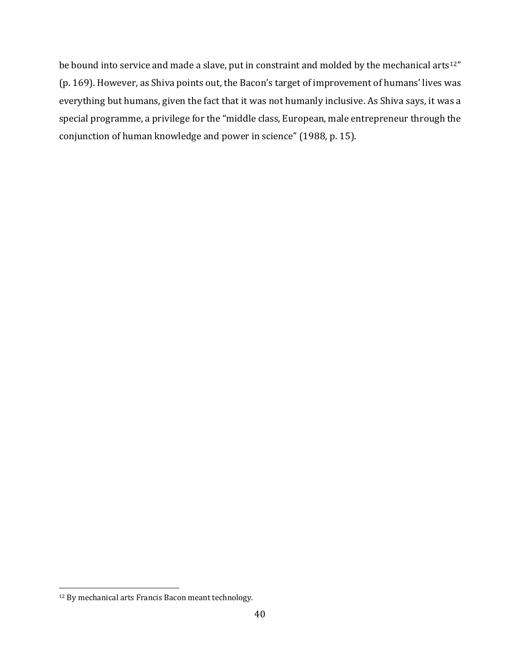be bound into service and made a slave, put in constraint and molded by the mechanical arts<sup>12"</sup> (p. 169). However, as Shiva points out, the Bacon's target of improvement of humans' lives was everything but humans, given the fact that it was not humanly inclusive. As Shiva says, it was a special programme, a privilege for the "middle class, European, male entrepreneur through the conjunction of human knowledge and power in science" (1988, p. 15).

 $\overline{\phantom{a}}$ 

<sup>12</sup> By mechanical arts Francis Bacon meant technology.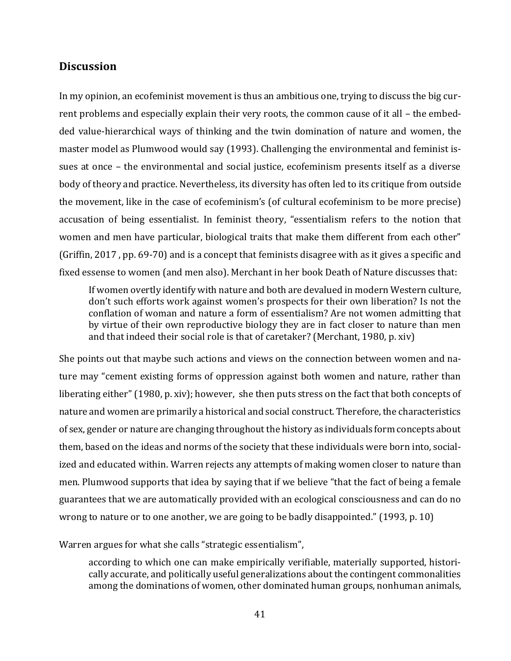## <span id="page-40-0"></span>**Discussion**

In my opinion, an ecofeminist movement is thus an ambitious one, trying to discuss the big current problems and especially explain their very roots, the common cause of it all – the embedded value-hierarchical ways of thinking and the twin domination of nature and women, the master model as Plumwood would say (1993). Challenging the environmental and feminist issues at once – the environmental and social justice, ecofeminism presents itself as a diverse body of theory and practice. Nevertheless, its diversity has often led to its critique from outside the movement, like in the case of ecofeminism's (of cultural ecofeminism to be more precise) accusation of being essentialist. In feminist theory, "essentialism refers to the notion that women and men have particular, biological traits that make them different from each other" (Griffin, 2017 , pp. 69-70) and is a concept that feminists disagree with as it gives a specific and fixed essense to women (and men also). Merchant in her book Death of Nature discusses that:

If women overtly identify with nature and both are devalued in modern Western culture, don't such efforts work against women's prospects for their own liberation? Is not the conflation of woman and nature a form of essentialism? Are not women admitting that by virtue of their own reproductive biology they are in fact closer to nature than men and that indeed their social role is that of caretaker? (Merchant, 1980, p. xiv)

She points out that maybe such actions and views on the connection between women and nature may "cement existing forms of oppression against both women and nature, rather than liberating either" (1980, p. xiv); however, she then puts stress on the fact that both concepts of nature and women are primarily a historical and social construct. Therefore, the characteristics of sex, gender or nature are changing throughout the history as individuals form concepts about them, based on the ideas and norms of the society that these individuals were born into, socialized and educated within. Warren rejects any attempts of making women closer to nature than men. Plumwood supports that idea by saying that if we believe "that the fact of being a female guarantees that we are automatically provided with an ecological consciousness and can do no wrong to nature or to one another, we are going to be badly disappointed." (1993, p. 10)

Warren argues for what she calls "strategic essentialism",

according to which one can make empirically verifiable, materially supported, historically accurate, and politically useful generalizations about the contingent commonalities among the dominations of women, other dominated human groups, nonhuman animals,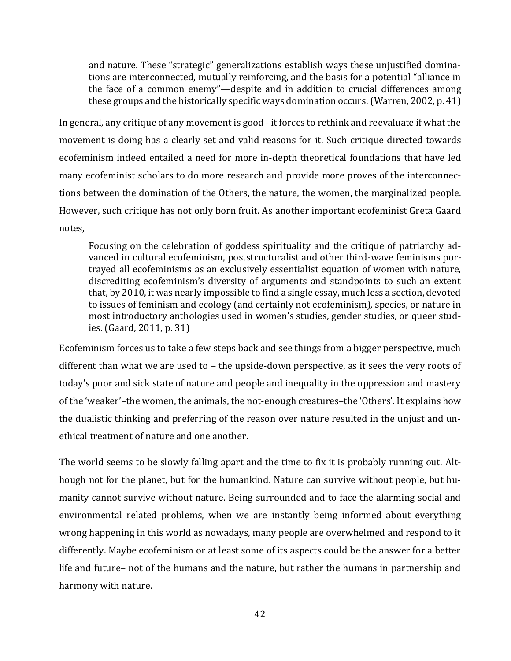and nature. These "strategic" generalizations establish ways these unjustified dominations are interconnected, mutually reinforcing, and the basis for a potential "alliance in the face of a common enemy"—despite and in addition to crucial differences among these groups and the historically specific ways domination occurs. (Warren, 2002, p. 41)

In general, any critique of any movement is good - it forces to rethink and reevaluate if what the movement is doing has a clearly set and valid reasons for it. Such critique directed towards ecofeminism indeed entailed a need for more in-depth theoretical foundations that have led many ecofeminist scholars to do more research and provide more proves of the interconnections between the domination of the Others, the nature, the women, the marginalized people. However, such critique has not only born fruit. As another important ecofeminist Greta Gaard notes,

Focusing on the celebration of goddess spirituality and the critique of patriarchy advanced in cultural ecofeminism, poststructuralist and other third-wave feminisms portrayed all ecofeminisms as an exclusively essentialist equation of women with nature, discrediting ecofeminism's diversity of arguments and standpoints to such an extent that, by 2010, it was nearly impossible to find a single essay, much less a section, devoted to issues of feminism and ecology (and certainly not ecofeminism), species, or nature in most introductory anthologies used in women's studies, gender studies, or queer studies. (Gaard, 2011, p. 31)

Ecofeminism forces us to take a few steps back and see things from a bigger perspective, much different than what we are used to – the upside-down perspective, as it sees the very roots of today's poor and sick state of nature and people and inequality in the oppression and mastery of the 'weaker'–the women, the animals, the not-enough creatures–the 'Others'. It explains how the dualistic thinking and preferring of the reason over nature resulted in the unjust and unethical treatment of nature and one another.

The world seems to be slowly falling apart and the time to fix it is probably running out. Although not for the planet, but for the humankind. Nature can survive without people, but humanity cannot survive without nature. Being surrounded and to face the alarming social and environmental related problems, when we are instantly being informed about everything wrong happening in this world as nowadays, many people are overwhelmed and respond to it differently. Maybe ecofeminism or at least some of its aspects could be the answer for a better life and future– not of the humans and the nature, but rather the humans in partnership and harmony with nature.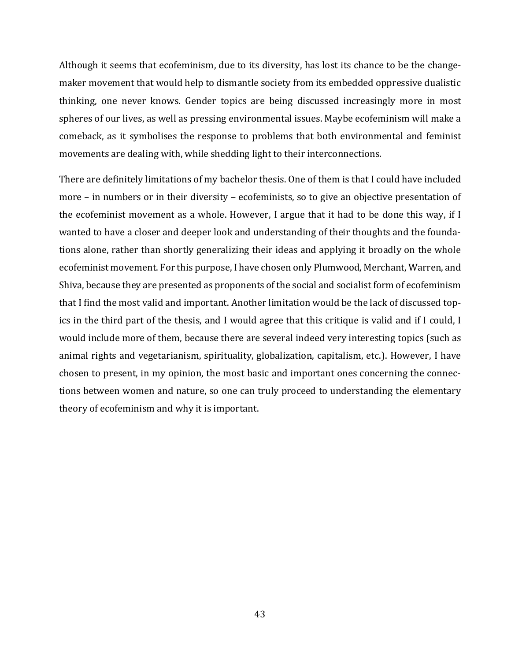Although it seems that ecofeminism, due to its diversity, has lost its chance to be the changemaker movement that would help to dismantle society from its embedded oppressive dualistic thinking, one never knows. Gender topics are being discussed increasingly more in most spheres of our lives, as well as pressing environmental issues. Maybe ecofeminism will make a comeback, as it symbolises the response to problems that both environmental and feminist movements are dealing with, while shedding light to their interconnections.

There are definitely limitations of my bachelor thesis. One of them is that I could have included more – in numbers or in their diversity – ecofeminists, so to give an objective presentation of the ecofeminist movement as a whole. However, I argue that it had to be done this way, if I wanted to have a closer and deeper look and understanding of their thoughts and the foundations alone, rather than shortly generalizing their ideas and applying it broadly on the whole ecofeminist movement. For this purpose, I have chosen only Plumwood, Merchant, Warren, and Shiva, because they are presented as proponents of the social and socialist form of ecofeminism that I find the most valid and important. Another limitation would be the lack of discussed topics in the third part of the thesis, and I would agree that this critique is valid and if I could, I would include more of them, because there are several indeed very interesting topics (such as animal rights and vegetarianism, spirituality, globalization, capitalism, etc.). However, I have chosen to present, in my opinion, the most basic and important ones concerning the connections between women and nature, so one can truly proceed to understanding the elementary theory of ecofeminism and why it is important.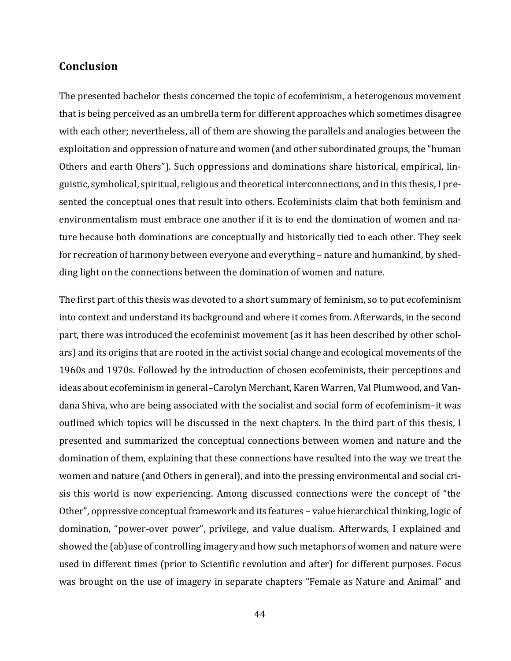## <span id="page-43-0"></span>**Conclusion**

The presented bachelor thesis concerned the topic of ecofeminism, a heterogenous movement that is being perceived as an umbrella term for different approaches which sometimes disagree with each other; nevertheless, all of them are showing the parallels and analogies between the exploitation and oppression of nature and women (and other subordinated groups, the "human Others and earth Ohers"). Such oppressions and dominations share historical, empirical, linguistic, symbolical, spiritual, religious and theoretical interconnections, and in this thesis, I presented the conceptual ones that result into others. Ecofeminists claim that both feminism and environmentalism must embrace one another if it is to end the domination of women and nature because both dominations are conceptually and historically tied to each other. They seek for recreation of harmony between everyone and everything – nature and humankind, by shedding light on the connections between the domination of women and nature.

The first part of this thesis was devoted to a short summary of feminism, so to put ecofeminism into context and understand its background and where it comes from. Afterwards, in the second part, there was introduced the ecofeminist movement (as it has been described by other scholars) and its origins that are rooted in the activist social change and ecological movements of the 1960s and 1970s. Followed by the introduction of chosen ecofeminists, their perceptions and ideas about ecofeminism in general–Carolyn Merchant, Karen Warren, Val Plumwood, and Vandana Shiva, who are being associated with the socialist and social form of ecofeminism–it was outlined which topics will be discussed in the next chapters. In the third part of this thesis, I presented and summarized the conceptual connections between women and nature and the domination of them, explaining that these connections have resulted into the way we treat the women and nature (and Others in general), and into the pressing environmental and social crisis this world is now experiencing. Among discussed connections were the concept of "the Other", oppressive conceptual framework and its features – value hierarchical thinking, logic of domination, "power-over power", privilege, and value dualism. Afterwards, I explained and showed the (ab)use of controlling imagery and how such metaphors of women and nature were used in different times (prior to Scientific revolution and after) for different purposes. Focus was brought on the use of imagery in separate chapters "Female as Nature and Animal" and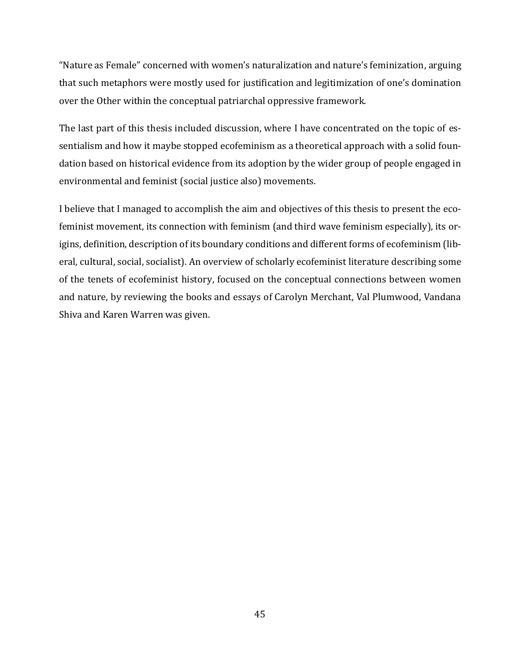"Nature as Female" concerned with women's naturalization and nature's feminization, arguing that such metaphors were mostly used for justification and legitimization of one's domination over the Other within the conceptual patriarchal oppressive framework.

The last part of this thesis included discussion, where I have concentrated on the topic of essentialism and how it maybe stopped ecofeminism as a theoretical approach with a solid foundation based on historical evidence from its adoption by the wider group of people engaged in environmental and feminist (social justice also) movements.

I believe that I managed to accomplish the aim and objectives of this thesis to present the ecofeminist movement, its connection with feminism (and third wave feminism especially), its origins, definition, description of its boundary conditions and different forms of ecofeminism (liberal, cultural, social, socialist). An overview of scholarly ecofeminist literature describing some of the tenets of ecofeminist history, focused on the conceptual connections between women and nature, by reviewing the books and essays of Carolyn Merchant, Val Plumwood, Vandana Shiva and Karen Warren was given.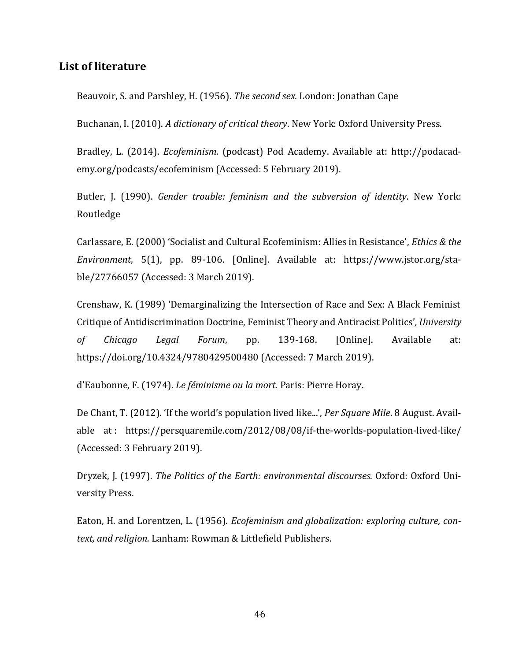## <span id="page-45-0"></span>**List of literature**

Beauvoir, S. and Parshley, H. (1956). *The second sex.* London: Jonathan Cape

Buchanan, I. (2010). *A dictionary of critical theory*. New York: Oxford University Press.

Bradley, L. (2014). *Ecofeminism.* (podcast) Pod Academy. Available at: http://podacademy.org/podcasts/ecofeminism (Accessed: 5 February 2019).

Butler, J. (1990). *Gender trouble: feminism and the subversion of identity*. New York: Routledge

Carlassare, E. (2000) 'Socialist and Cultural Ecofeminism: Allies in Resistance', *Ethics & the Environment*, 5(1), pp. 89-106. [Online]. Available at: https://www.jstor.org/stable/27766057 (Accessed: 3 March 2019).

Crenshaw, K. (1989) 'Demarginalizing the Intersection of Race and Sex: A Black Feminist Critique of Antidiscrimination Doctrine, Feminist Theory and Antiracist Politics'*, University of Chicago Legal Forum*, pp. 139-168. [Online]. Available at: https://doi.org/10.4324/9780429500480 (Accessed: 7 March 2019).

d'Eaubonne, F. (1974). *Le féminisme ou la mort.* Paris: Pierre Horay.

De Chant, T. (2012). 'If the world's population lived like...', *Per Square Mile*. 8 August. Available at : https://persquaremile.com/2012/08/08/if-the-worlds-population-lived-like/ (Accessed: 3 February 2019).

Dryzek, J. (1997). *The Politics of the Earth: environmental discourses.* Oxford: Oxford University Press.

Eaton, H. and Lorentzen, L. (1956). *Ecofeminism and globalization: exploring culture, context, and religion.* Lanham: Rowman & Littlefield Publishers.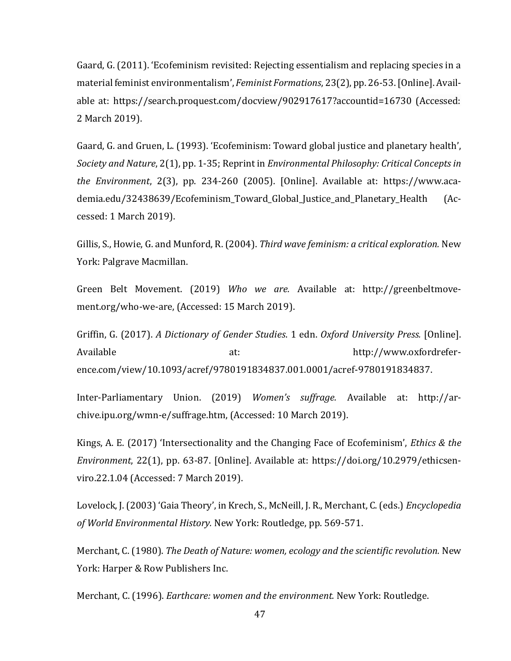Gaard, G. (2011). 'Ecofeminism revisited: Rejecting essentialism and replacing species in a material feminist environmentalism', *Feminist Formations*, 23(2), pp. 26-53. [Online]. Available at: https://search.proquest.com/docview/902917617?accountid=16730 (Accessed: 2 March 2019).

Gaard, G. and Gruen, L. (1993). 'Ecofeminism: Toward global justice and planetary health', *Society and Nature*, 2(1), pp. 1-35; Reprint in *Environmental Philosophy: Critical Concepts in the Environment*, 2(3), pp. 234-260 (2005). [Online]. Available at: [https://www.aca](https://www.academia.edu/32438639/Ecofeminism_Toward_Global_Justice_and_Planetary_Health)[demia.edu/32438639/Ecofeminism\\_Toward\\_Global\\_Justice\\_and\\_Planetary\\_Health](https://www.academia.edu/32438639/Ecofeminism_Toward_Global_Justice_and_Planetary_Health) (Accessed: 1 March 2019).

Gillis, S., Howie, G. and Munford, R. (2004). *Third wave feminism: a critical exploration.* New York: Palgrave Macmillan.

Green Belt Movement. (2019) *Who we are.* Available at: http://greenbeltmovement.org/who-we-are, (Accessed: 15 March 2019).

Griffin, G. (2017). *A Dictionary of Gender Studies*. 1 edn. *Oxford University Press.* [Online]. Available at: [http://www.oxfordrefer](http://www.oxfordreference.com/view/10.1093/acref/9780191834837.001.0001/acref-9780191834837)[ence.com/view/10.1093/acref/9780191834837.001.0001/acref-9780191834837.](http://www.oxfordreference.com/view/10.1093/acref/9780191834837.001.0001/acref-9780191834837)

Inter-Parliamentary Union. (2019) *Women's suffrage.* Available at: http://archive.ipu.org/wmn-e/suffrage.htm, (Accessed: 10 March 2019).

Kings, A. E. (2017) 'Intersectionality and the Changing Face of Ecofeminism', *Ethics & the Environment*, 22(1), pp. 63-87. [Online]. Available at: https://doi.org/10.2979/ethicsenviro.22.1.04 (Accessed: 7 March 2019).

Lovelock, J. (2003) 'Gaia Theory', in Krech, S., McNeill, J. R., Merchant, C. (eds.) *Encyclopedia of World Environmental History.* New York: Routledge, pp. 569-571.

Merchant, C. (1980). *The Death of Nature: women, ecology and the scientific revolution.* New York: Harper & Row Publishers Inc.

Merchant, C. (1996). *Earthcare: women and the environment.* New York: Routledge.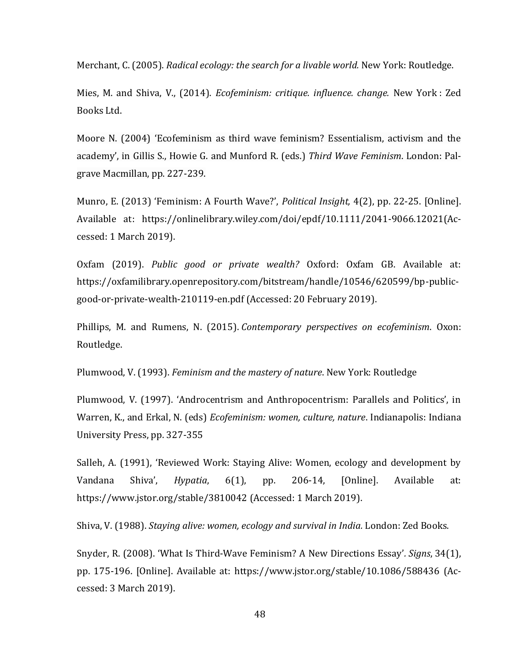Merchant, C. (2005). *Radical ecology: the search for a livable world.* New York: Routledge.

Mies, M. and Shiva, V., (2014). *Ecofeminism: critique. influence. change.* New York : Zed Books Ltd.

Moore N. (2004) 'Ecofeminism as third wave feminism? Essentialism, activism and the academy', in Gillis S., Howie G. and Munford R. (eds.) *Third Wave Feminism*. London: Palgrave Macmillan, pp. 227-239.

Munro, E. (2013) 'Feminism: A Fourth Wave?', *Political Insight,* 4(2), pp. 22-25. [Online]. Available at: https://onlinelibrary.wiley.com/doi/epdf/10.1111/2041-9066.12021(Accessed: 1 March 2019).

Oxfam (2019). *Public good or private wealth?* Oxford: Oxfam GB. Available at: https://oxfamilibrary.openrepository.com/bitstream/handle/10546/620599/bp-publicgood-or-private-wealth-210119-en.pdf (Accessed: 20 February 2019).

Phillips, M. and Rumens, N. (2015). *Contemporary perspectives on ecofeminism*. Oxon: Routledge.

Plumwood, V. (1993). *Feminism and the mastery of nature*. New York: Routledge

Plumwood, V. (1997). 'Androcentrism and Anthropocentrism: Parallels and Politics', in Warren, K., and Erkal, N. (eds) *Ecofeminism: women, culture, nature*. Indianapolis: Indiana University Press, pp. 327-355

Salleh, A. (1991), 'Reviewed Work: Staying Alive: Women, ecology and development by Vandana Shiva', *Hypatia*, 6(1), pp. 206-14, [Online]. Available at: <https://www.jstor.org/stable/3810042> (Accessed: 1 March 2019).

Shiva, V. (1988). *Staying alive: women, ecology and survival in India.* London: Zed Books.

Snyder, R. (2008). 'What Is Third-Wave Feminism? A New Directions Essay'*. Signs*, 34(1), pp. 175-196. [Online]. Available at:<https://www.jstor.org/stable/10.1086/588436> (Accessed: 3 March 2019).